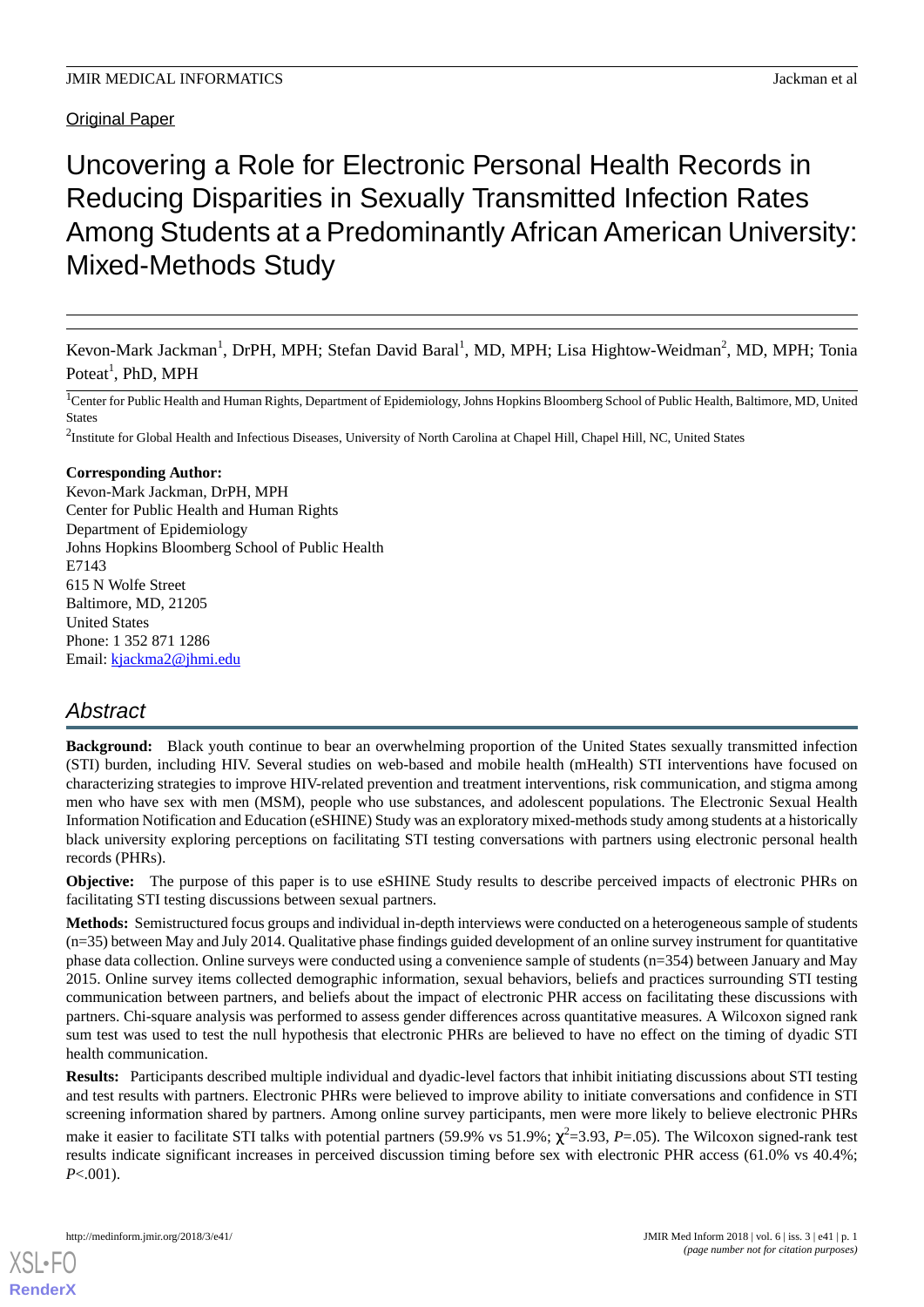# **Original Paper**

# Uncovering a Role for Electronic Personal Health Records in Reducing Disparities in Sexually Transmitted Infection Rates Among Students at a Predominantly African American University: Mixed-Methods Study

Kevon-Mark Jackman<sup>1</sup>, DrPH, MPH; Stefan David Baral<sup>1</sup>, MD, MPH; Lisa Hightow-Weidman<sup>2</sup>, MD, MPH; Tonia Poteat<sup>1</sup>, PhD, MPH

<sup>1</sup>Center for Public Health and Human Rights, Department of Epidemiology, Johns Hopkins Bloomberg School of Public Health, Baltimore, MD, United States

 $^2$ Institute for Global Health and Infectious Diseases, University of North Carolina at Chapel Hill, Chapel Hill, NC, United States

#### **Corresponding Author:**

Kevon-Mark Jackman, DrPH, MPH Center for Public Health and Human Rights Department of Epidemiology Johns Hopkins Bloomberg School of Public Health E7143 615 N Wolfe Street Baltimore, MD, 21205 United States Phone: 1 352 871 1286 Email: [kjackma2@jhmi.edu](mailto:kjackma2@jhmi.edu)

# *Abstract*

**Background:** Black youth continue to bear an overwhelming proportion of the United States sexually transmitted infection (STI) burden, including HIV. Several studies on web-based and mobile health (mHealth) STI interventions have focused on characterizing strategies to improve HIV-related prevention and treatment interventions, risk communication, and stigma among men who have sex with men (MSM), people who use substances, and adolescent populations. The Electronic Sexual Health Information Notification and Education (eSHINE) Study was an exploratory mixed-methods study among students at a historically black university exploring perceptions on facilitating STI testing conversations with partners using electronic personal health records (PHRs).

**Objective:** The purpose of this paper is to use eSHINE Study results to describe perceived impacts of electronic PHRs on facilitating STI testing discussions between sexual partners.

**Methods:** Semistructured focus groups and individual in-depth interviews were conducted on a heterogeneous sample of students (n=35) between May and July 2014. Qualitative phase findings guided development of an online survey instrument for quantitative phase data collection. Online surveys were conducted using a convenience sample of students (n=354) between January and May 2015. Online survey items collected demographic information, sexual behaviors, beliefs and practices surrounding STI testing communication between partners, and beliefs about the impact of electronic PHR access on facilitating these discussions with partners. Chi-square analysis was performed to assess gender differences across quantitative measures. A Wilcoxon signed rank sum test was used to test the null hypothesis that electronic PHRs are believed to have no effect on the timing of dyadic STI health communication.

**Results:** Participants described multiple individual and dyadic-level factors that inhibit initiating discussions about STI testing and test results with partners. Electronic PHRs were believed to improve ability to initiate conversations and confidence in STI screening information shared by partners. Among online survey participants, men were more likely to believe electronic PHRs make it easier to facilitate STI talks with potential partners (59.9% vs 51.9%;  $\chi^2$ =3.93, P=.05). The Wilcoxon signed-rank test results indicate significant increases in perceived discussion timing before sex with electronic PHR access (61.0% vs 40.4%; *P*<.001).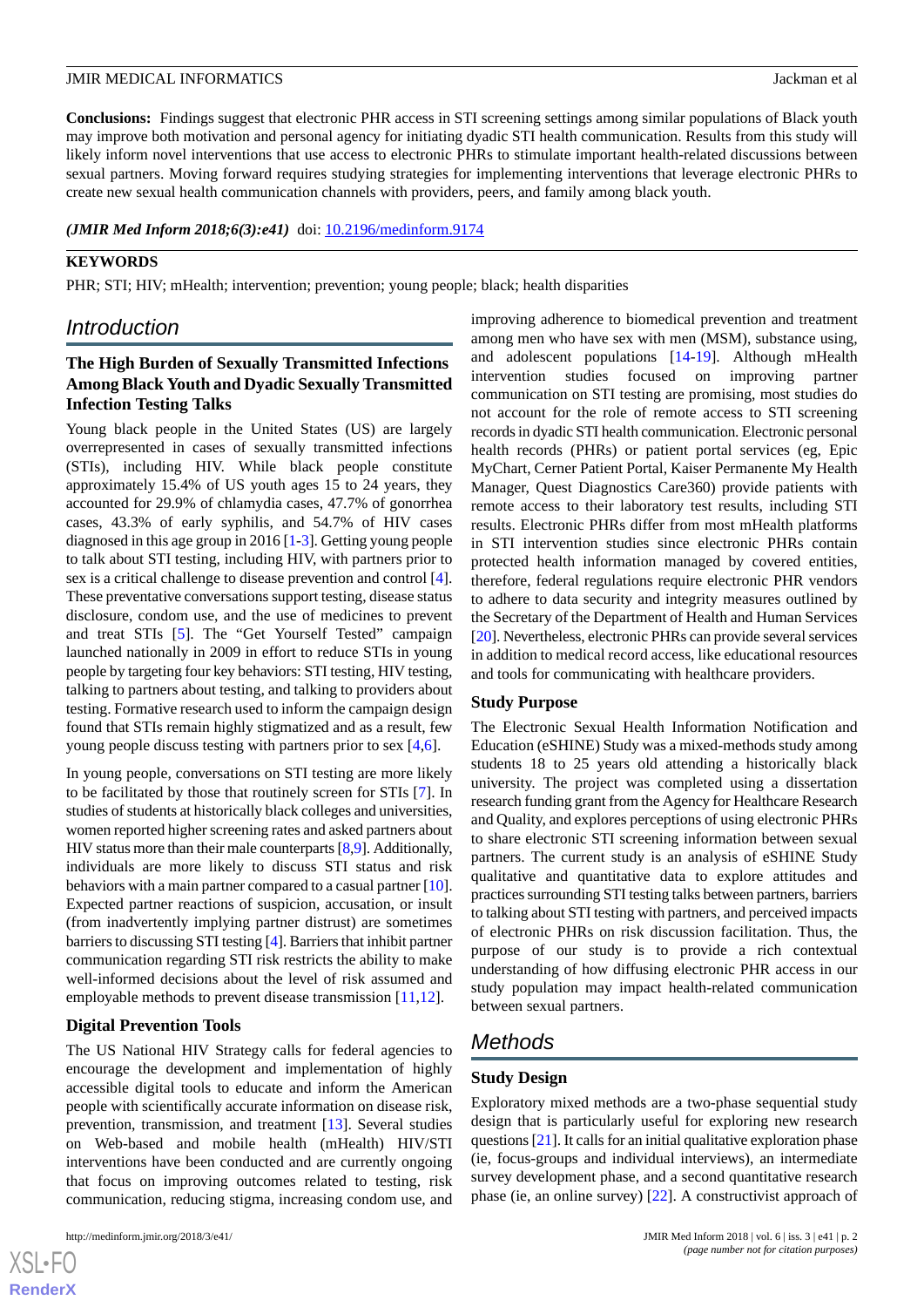**Conclusions:** Findings suggest that electronic PHR access in STI screening settings among similar populations of Black youth may improve both motivation and personal agency for initiating dyadic STI health communication. Results from this study will likely inform novel interventions that use access to electronic PHRs to stimulate important health-related discussions between sexual partners. Moving forward requires studying strategies for implementing interventions that leverage electronic PHRs to create new sexual health communication channels with providers, peers, and family among black youth.

(JMIR Med Inform 2018;6(3):e41) doi: [10.2196/medinform.9174](http://dx.doi.org/10.2196/medinform.9174)

#### **KEYWORDS**

PHR; STI; HIV; mHealth; intervention; prevention; young people; black; health disparities

# *Introduction*

# **The High Burden of Sexually Transmitted Infections Among Black Youth and Dyadic Sexually Transmitted Infection Testing Talks**

Young black people in the United States (US) are largely overrepresented in cases of sexually transmitted infections (STIs), including HIV. While black people constitute approximately 15.4% of US youth ages 15 to 24 years, they accounted for 29.9% of chlamydia cases, 47.7% of gonorrhea cases, 43.3% of early syphilis, and 54.7% of HIV cases diagnosed in this age group in 2016 [\[1](#page-11-0)[-3](#page-11-1)]. Getting young people to talk about STI testing, including HIV, with partners prior to sex is a critical challenge to disease prevention and control [[4\]](#page-11-2). These preventative conversations support testing, disease status disclosure, condom use, and the use of medicines to prevent and treat STIs [\[5](#page-11-3)]. The "Get Yourself Tested" campaign launched nationally in 2009 in effort to reduce STIs in young people by targeting four key behaviors: STI testing, HIV testing, talking to partners about testing, and talking to providers about testing. Formative research used to inform the campaign design found that STIs remain highly stigmatized and as a result, few young people discuss testing with partners prior to sex [[4,](#page-11-2)[6](#page-11-4)].

In young people, conversations on STI testing are more likely to be facilitated by those that routinely screen for STIs [[7\]](#page-11-5). In studies of students at historically black colleges and universities, women reported higher screening rates and asked partners about HIV status more than their male counterparts [[8,](#page-11-6)[9\]](#page-11-7). Additionally, individuals are more likely to discuss STI status and risk behaviors with a main partner compared to a casual partner [\[10\]](#page-11-8). Expected partner reactions of suspicion, accusation, or insult (from inadvertently implying partner distrust) are sometimes barriers to discussing STI testing [\[4](#page-11-2)]. Barriers that inhibit partner communication regarding STI risk restricts the ability to make well-informed decisions about the level of risk assumed and employable methods to prevent disease transmission [\[11](#page-12-0),[12\]](#page-12-1).

#### **Digital Prevention Tools**

The US National HIV Strategy calls for federal agencies to encourage the development and implementation of highly accessible digital tools to educate and inform the American people with scientifically accurate information on disease risk, prevention, transmission, and treatment [[13\]](#page-12-2). Several studies on Web-based and mobile health (mHealth) HIV/STI interventions have been conducted and are currently ongoing that focus on improving outcomes related to testing, risk communication, reducing stigma, increasing condom use, and

improving adherence to biomedical prevention and treatment among men who have sex with men (MSM), substance using, and adolescent populations [[14](#page-12-3)[-19](#page-12-4)]. Although mHealth intervention studies focused on improving partner communication on STI testing are promising, most studies do not account for the role of remote access to STI screening records in dyadic STI health communication. Electronic personal health records (PHRs) or patient portal services (eg, Epic MyChart, Cerner Patient Portal, Kaiser Permanente My Health Manager, Quest Diagnostics Care360) provide patients with remote access to their laboratory test results, including STI results. Electronic PHRs differ from most mHealth platforms in STI intervention studies since electronic PHRs contain protected health information managed by covered entities, therefore, federal regulations require electronic PHR vendors to adhere to data security and integrity measures outlined by the Secretary of the Department of Health and Human Services [[20\]](#page-12-5). Nevertheless, electronic PHRs can provide several services in addition to medical record access, like educational resources and tools for communicating with healthcare providers.

#### **Study Purpose**

The Electronic Sexual Health Information Notification and Education (eSHINE) Study was a mixed-methods study among students 18 to 25 years old attending a historically black university. The project was completed using a dissertation research funding grant from the Agency for Healthcare Research and Quality, and explores perceptions of using electronic PHRs to share electronic STI screening information between sexual partners. The current study is an analysis of eSHINE Study qualitative and quantitative data to explore attitudes and practices surrounding STI testing talks between partners, barriers to talking about STI testing with partners, and perceived impacts of electronic PHRs on risk discussion facilitation. Thus, the purpose of our study is to provide a rich contextual understanding of how diffusing electronic PHR access in our study population may impact health-related communication between sexual partners.

# *Methods*

#### **Study Design**

Exploratory mixed methods are a two-phase sequential study design that is particularly useful for exploring new research questions [\[21\]](#page-12-6). It calls for an initial qualitative exploration phase (ie, focus-groups and individual interviews), an intermediate survey development phase, and a second quantitative research phase (ie, an online survey) [\[22](#page-12-7)]. A constructivist approach of

 $XS$  $\cdot$ FC **[RenderX](http://www.renderx.com/)**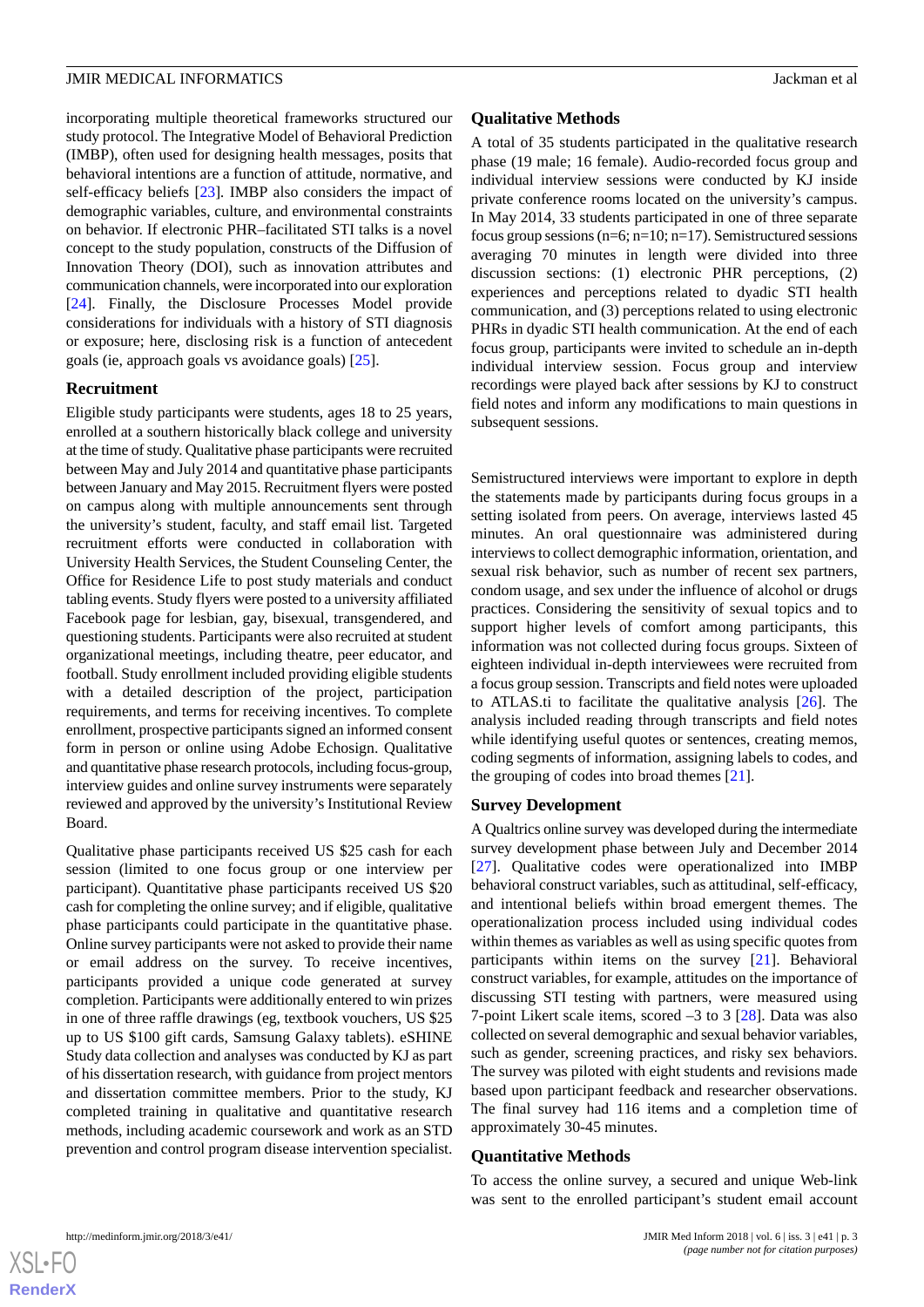incorporating multiple theoretical frameworks structured our study protocol. The Integrative Model of Behavioral Prediction (IMBP), often used for designing health messages, posits that behavioral intentions are a function of attitude, normative, and self-efficacy beliefs [[23\]](#page-12-8)*.* IMBP also considers the impact of demographic variables, culture, and environmental constraints on behavior. If electronic PHR–facilitated STI talks is a novel concept to the study population, constructs of the Diffusion of Innovation Theory (DOI), such as innovation attributes and communication channels, were incorporated into our exploration [[24\]](#page-12-9). Finally, the Disclosure Processes Model provide considerations for individuals with a history of STI diagnosis or exposure; here, disclosing risk is a function of antecedent goals (ie, approach goals vs avoidance goals) [[25\]](#page-12-10).

#### **Recruitment**

Eligible study participants were students, ages 18 to 25 years, enrolled at a southern historically black college and university at the time of study. Qualitative phase participants were recruited between May and July 2014 and quantitative phase participants between January and May 2015. Recruitment flyers were posted on campus along with multiple announcements sent through the university's student, faculty, and staff email list. Targeted recruitment efforts were conducted in collaboration with University Health Services, the Student Counseling Center, the Office for Residence Life to post study materials and conduct tabling events. Study flyers were posted to a university affiliated Facebook page for lesbian, gay, bisexual, transgendered, and questioning students. Participants were also recruited at student organizational meetings, including theatre, peer educator, and football. Study enrollment included providing eligible students with a detailed description of the project, participation requirements, and terms for receiving incentives. To complete enrollment, prospective participants signed an informed consent form in person or online using Adobe Echosign. Qualitative and quantitative phase research protocols, including focus-group, interview guides and online survey instruments were separately reviewed and approved by the university's Institutional Review Board.

Qualitative phase participants received US \$25 cash for each session (limited to one focus group or one interview per participant). Quantitative phase participants received US \$20 cash for completing the online survey; and if eligible, qualitative phase participants could participate in the quantitative phase. Online survey participants were not asked to provide their name or email address on the survey. To receive incentives, participants provided a unique code generated at survey completion. Participants were additionally entered to win prizes in one of three raffle drawings (eg, textbook vouchers, US \$25 up to US \$100 gift cards, Samsung Galaxy tablets). eSHINE Study data collection and analyses was conducted by KJ as part of his dissertation research, with guidance from project mentors and dissertation committee members. Prior to the study, KJ completed training in qualitative and quantitative research methods, including academic coursework and work as an STD prevention and control program disease intervention specialist.

#### **Qualitative Methods**

A total of 35 students participated in the qualitative research phase (19 male; 16 female). Audio-recorded focus group and individual interview sessions were conducted by KJ inside private conference rooms located on the university's campus. In May 2014, 33 students participated in one of three separate focus group sessions  $(n=6; n=10; n=17)$ . Semistructured sessions averaging 70 minutes in length were divided into three discussion sections: (1) electronic PHR perceptions, (2) experiences and perceptions related to dyadic STI health communication, and (3) perceptions related to using electronic PHRs in dyadic STI health communication. At the end of each focus group, participants were invited to schedule an in-depth individual interview session. Focus group and interview recordings were played back after sessions by KJ to construct field notes and inform any modifications to main questions in subsequent sessions.

Semistructured interviews were important to explore in depth the statements made by participants during focus groups in a setting isolated from peers. On average, interviews lasted 45 minutes. An oral questionnaire was administered during interviews to collect demographic information, orientation, and sexual risk behavior, such as number of recent sex partners, condom usage, and sex under the influence of alcohol or drugs practices. Considering the sensitivity of sexual topics and to support higher levels of comfort among participants, this information was not collected during focus groups. Sixteen of eighteen individual in-depth interviewees were recruited from a focus group session. Transcripts and field notes were uploaded to ATLAS.ti to facilitate the qualitative analysis [[26\]](#page-12-11). The analysis included reading through transcripts and field notes while identifying useful quotes or sentences, creating memos, coding segments of information, assigning labels to codes, and the grouping of codes into broad themes [[21\]](#page-12-6).

#### **Survey Development**

A Qualtrics online survey was developed during the intermediate survey development phase between July and December 2014 [[27\]](#page-12-12). Qualitative codes were operationalized into IMBP behavioral construct variables, such as attitudinal, self-efficacy, and intentional beliefs within broad emergent themes. The operationalization process included using individual codes within themes as variables as well as using specific quotes from participants within items on the survey [[21\]](#page-12-6). Behavioral construct variables, for example, attitudes on the importance of discussing STI testing with partners, were measured using 7-point Likert scale items, scored –3 to 3 [\[28](#page-12-13)]. Data was also collected on several demographic and sexual behavior variables, such as gender, screening practices, and risky sex behaviors. The survey was piloted with eight students and revisions made based upon participant feedback and researcher observations. The final survey had 116 items and a completion time of approximately 30-45 minutes.

#### **Quantitative Methods**

To access the online survey, a secured and unique Web-link was sent to the enrolled participant's student email account

 $XS$  $\cdot$ FC **[RenderX](http://www.renderx.com/)**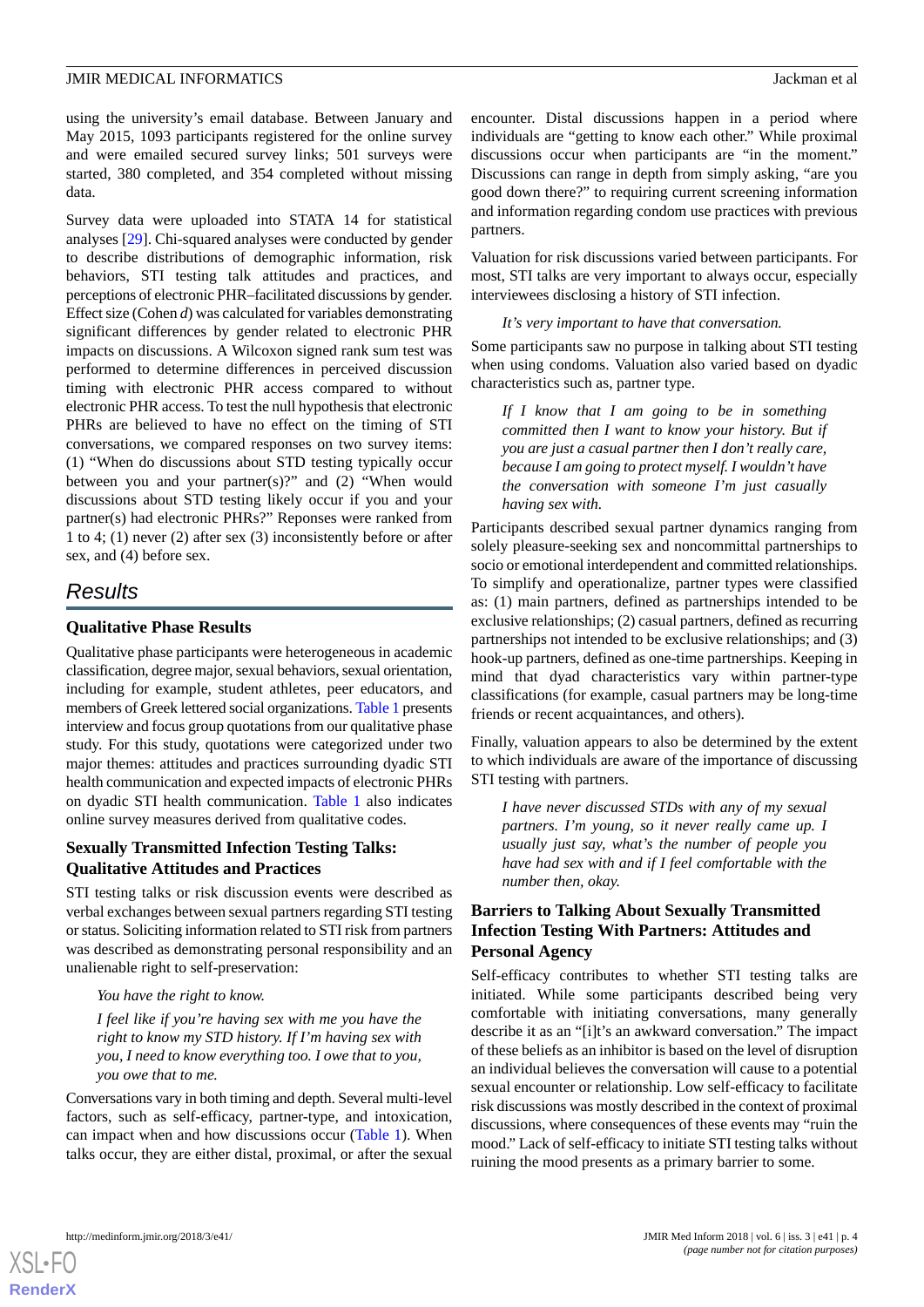using the university's email database. Between January and May 2015, 1093 participants registered for the online survey and were emailed secured survey links; 501 surveys were started, 380 completed, and 354 completed without missing data.

Survey data were uploaded into STATA 14 for statistical analyses [[29\]](#page-12-14). Chi-squared analyses were conducted by gender to describe distributions of demographic information, risk behaviors, STI testing talk attitudes and practices, and perceptions of electronic PHR–facilitated discussions by gender. Effect size (Cohen *d*) was calculated for variables demonstrating significant differences by gender related to electronic PHR impacts on discussions. A Wilcoxon signed rank sum test was performed to determine differences in perceived discussion timing with electronic PHR access compared to without electronic PHR access. To test the null hypothesis that electronic PHRs are believed to have no effect on the timing of STI conversations, we compared responses on two survey items: (1) "When do discussions about STD testing typically occur between you and your partner(s)?" and (2) "When would discussions about STD testing likely occur if you and your partner(s) had electronic PHRs?" Reponses were ranked from 1 to 4; (1) never (2) after sex (3) inconsistently before or after sex, and (4) before sex.

# *Results*

### **Qualitative Phase Results**

Qualitative phase participants were heterogeneous in academic classification, degree major, sexual behaviors, sexual orientation, including for example, student athletes, peer educators, and members of Greek lettered social organizations. [Table 1](#page-4-0) presents interview and focus group quotations from our qualitative phase study. For this study, quotations were categorized under two major themes: attitudes and practices surrounding dyadic STI health communication and expected impacts of electronic PHRs on dyadic STI health communication. [Table 1](#page-4-0) also indicates online survey measures derived from qualitative codes.

#### **Sexually Transmitted Infection Testing Talks: Qualitative Attitudes and Practices**

STI testing talks or risk discussion events were described as verbal exchanges between sexual partners regarding STI testing or status. Soliciting information related to STI risk from partners was described as demonstrating personal responsibility and an unalienable right to self-preservation:

*You have the right to know.*

*I feel like if you're having sex with me you have the right to know my STD history. If I'm having sex with you, I need to know everything too. I owe that to you, you owe that to me.*

Conversations vary in both timing and depth. Several multi-level factors, such as self-efficacy, partner-type, and intoxication, can impact when and how discussions occur ([Table 1\)](#page-4-0). When talks occur, they are either distal, proximal, or after the sexual encounter. Distal discussions happen in a period where individuals are "getting to know each other." While proximal discussions occur when participants are "in the moment." Discussions can range in depth from simply asking, "are you good down there?" to requiring current screening information and information regarding condom use practices with previous partners.

Valuation for risk discussions varied between participants. For most, STI talks are very important to always occur, especially interviewees disclosing a history of STI infection.

*It's very important to have that conversation.*

Some participants saw no purpose in talking about STI testing when using condoms. Valuation also varied based on dyadic characteristics such as, partner type.

*If I know that I am going to be in something committed then I want to know your history. But if you are just a casual partner then I don't really care, because I am going to protect myself. I wouldn't have the conversation with someone I'm just casually having sex with.*

Participants described sexual partner dynamics ranging from solely pleasure-seeking sex and noncommittal partnerships to socio or emotional interdependent and committed relationships. To simplify and operationalize, partner types were classified as: (1) main partners, defined as partnerships intended to be exclusive relationships; (2) casual partners, defined as recurring partnerships not intended to be exclusive relationships; and (3) hook-up partners, defined as one-time partnerships. Keeping in mind that dyad characteristics vary within partner-type classifications (for example, casual partners may be long-time friends or recent acquaintances, and others).

Finally, valuation appears to also be determined by the extent to which individuals are aware of the importance of discussing STI testing with partners.

*I have never discussed STDs with any of my sexual partners. I'm young, so it never really came up. I usually just say, what's the number of people you have had sex with and if I feel comfortable with the number then, okay.*

# **Barriers to Talking About Sexually Transmitted Infection Testing With Partners: Attitudes and Personal Agency**

Self-efficacy contributes to whether STI testing talks are initiated. While some participants described being very comfortable with initiating conversations, many generally describe it as an "[i]t's an awkward conversation." The impact of these beliefs as an inhibitor is based on the level of disruption an individual believes the conversation will cause to a potential sexual encounter or relationship. Low self-efficacy to facilitate risk discussions was mostly described in the context of proximal discussions, where consequences of these events may "ruin the mood." Lack of self-efficacy to initiate STI testing talks without ruining the mood presents as a primary barrier to some.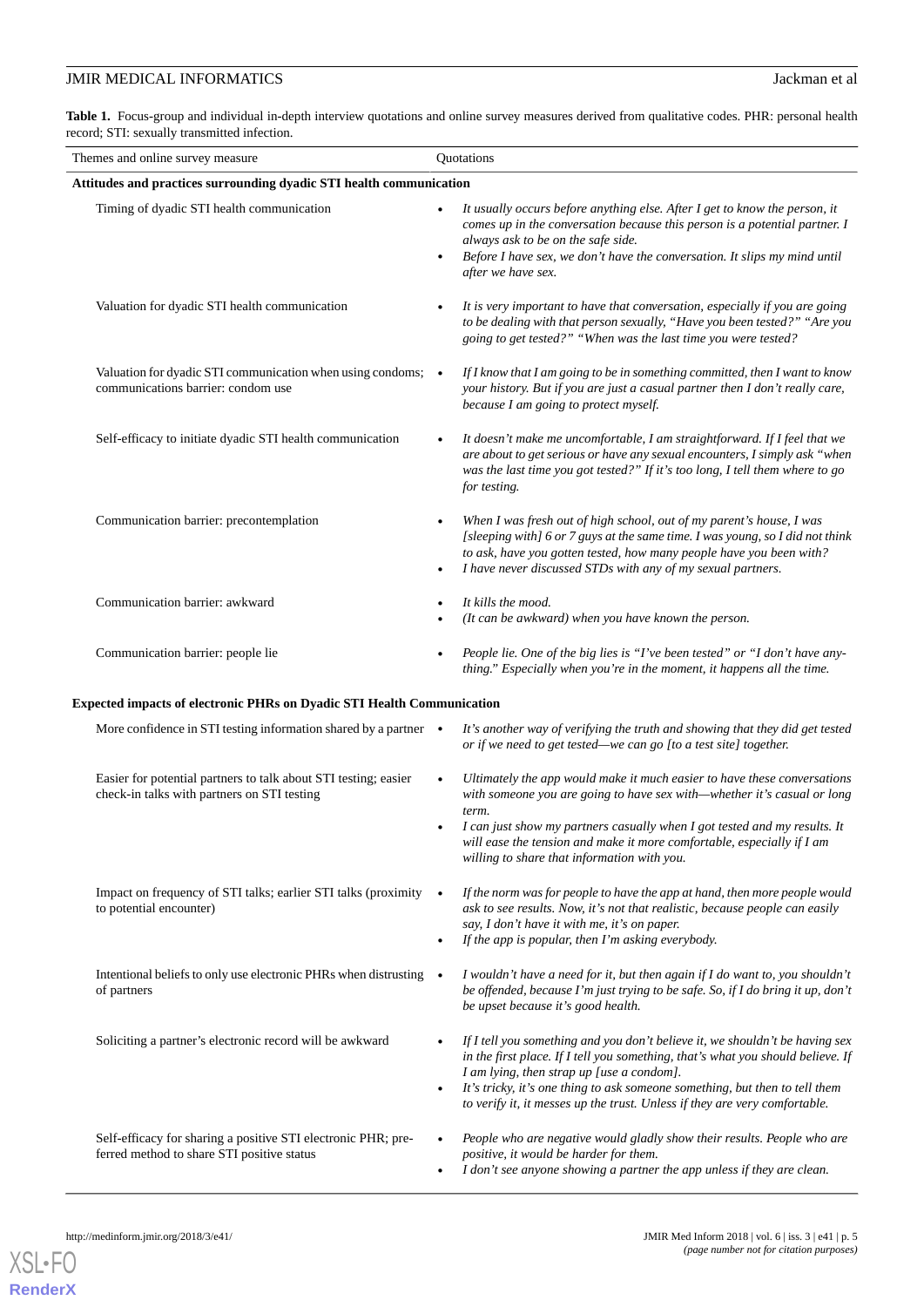<span id="page-4-0"></span>Table 1. Focus-group and individual in-depth interview quotations and online survey measures derived from qualitative codes. PHR: personal health record; STI: sexually transmitted infection.

| Themes and online survey measure                                                                               | Quotations                                                                                                                                                                                                                                                                                                                                                                             |  |  |  |  |  |
|----------------------------------------------------------------------------------------------------------------|----------------------------------------------------------------------------------------------------------------------------------------------------------------------------------------------------------------------------------------------------------------------------------------------------------------------------------------------------------------------------------------|--|--|--|--|--|
| Attitudes and practices surrounding dyadic STI health communication                                            |                                                                                                                                                                                                                                                                                                                                                                                        |  |  |  |  |  |
| Timing of dyadic STI health communication                                                                      | It usually occurs before anything else. After I get to know the person, it<br>comes up in the conversation because this person is a potential partner. I<br>always ask to be on the safe side.<br>Before I have sex, we don't have the conversation. It slips my mind until<br>after we have sex.                                                                                      |  |  |  |  |  |
| Valuation for dyadic STI health communication                                                                  | It is very important to have that conversation, especially if you are going<br>to be dealing with that person sexually, "Have you been tested?" "Are you<br>going to get tested?" "When was the last time you were tested?                                                                                                                                                             |  |  |  |  |  |
| Valuation for dyadic STI communication when using condoms; •<br>communications barrier: condom use             | If I know that I am going to be in something committed, then I want to know<br>your history. But if you are just a casual partner then I don't really care,<br>because I am going to protect myself.                                                                                                                                                                                   |  |  |  |  |  |
| Self-efficacy to initiate dyadic STI health communication                                                      | It doesn't make me uncomfortable, I am straightforward. If I feel that we<br>are about to get serious or have any sexual encounters, I simply ask "when<br>was the last time you got tested?" If it's too long, I tell them where to go<br>for testing.                                                                                                                                |  |  |  |  |  |
| Communication barrier: precontemplation                                                                        | When I was fresh out of high school, out of my parent's house, I was<br>[sleeping with] 6 or 7 guys at the same time. I was young, so I did not think<br>to ask, have you gotten tested, how many people have you been with?<br>I have never discussed STDs with any of my sexual partners.                                                                                            |  |  |  |  |  |
| Communication barrier: awkward                                                                                 | It kills the mood.<br>(It can be awkward) when you have known the person.                                                                                                                                                                                                                                                                                                              |  |  |  |  |  |
| Communication barrier: people lie                                                                              | People lie. One of the big lies is "I've been tested" or "I don't have any-<br>thing." Especially when you're in the moment, it happens all the time.                                                                                                                                                                                                                                  |  |  |  |  |  |
| Expected impacts of electronic PHRs on Dyadic STI Health Communication                                         |                                                                                                                                                                                                                                                                                                                                                                                        |  |  |  |  |  |
| More confidence in STI testing information shared by a partner •                                               | It's another way of verifying the truth and showing that they did get tested<br>or if we need to get tested—we can go [to a test site] together.                                                                                                                                                                                                                                       |  |  |  |  |  |
| Easier for potential partners to talk about STI testing; easier<br>check-in talks with partners on STI testing | Ultimately the app would make it much easier to have these conversations<br>with someone you are going to have sex with-whether it's casual or long<br>term.<br>I can just show my partners casually when I got tested and my results. It                                                                                                                                              |  |  |  |  |  |
|                                                                                                                | will ease the tension and make it more comfortable, especially if I am<br>willing to share that information with you.                                                                                                                                                                                                                                                                  |  |  |  |  |  |
| Impact on frequency of STI talks; earlier STI talks (proximity •<br>to potential encounter)                    | If the norm was for people to have the app at hand, then more people would<br>ask to see results. Now, it's not that realistic, because people can easily<br>say, I don't have it with me, it's on paper.<br>If the app is popular, then I'm asking everybody.<br>$\bullet$                                                                                                            |  |  |  |  |  |
| Intentional beliefs to only use electronic PHRs when distrusting .<br>of partners                              | I wouldn't have a need for it, but then again if I do want to, you shouldn't<br>be offended, because I'm just trying to be safe. So, if I do bring it up, don't<br>be upset because it's good health.                                                                                                                                                                                  |  |  |  |  |  |
| Soliciting a partner's electronic record will be awkward                                                       | If I tell you something and you don't believe it, we shouldn't be having sex<br>in the first place. If I tell you something, that's what you should believe. If<br>I am lying, then strap up [use a condom].<br>It's tricky, it's one thing to ask someone something, but then to tell them<br>$\bullet$<br>to verify it, it messes up the trust. Unless if they are very comfortable. |  |  |  |  |  |
| Self-efficacy for sharing a positive STI electronic PHR; pre-<br>ferred method to share STI positive status    | People who are negative would gladly show their results. People who are<br>$\bullet$<br>positive, it would be harder for them.<br>I don't see anyone showing a partner the app unless if they are clean.                                                                                                                                                                               |  |  |  |  |  |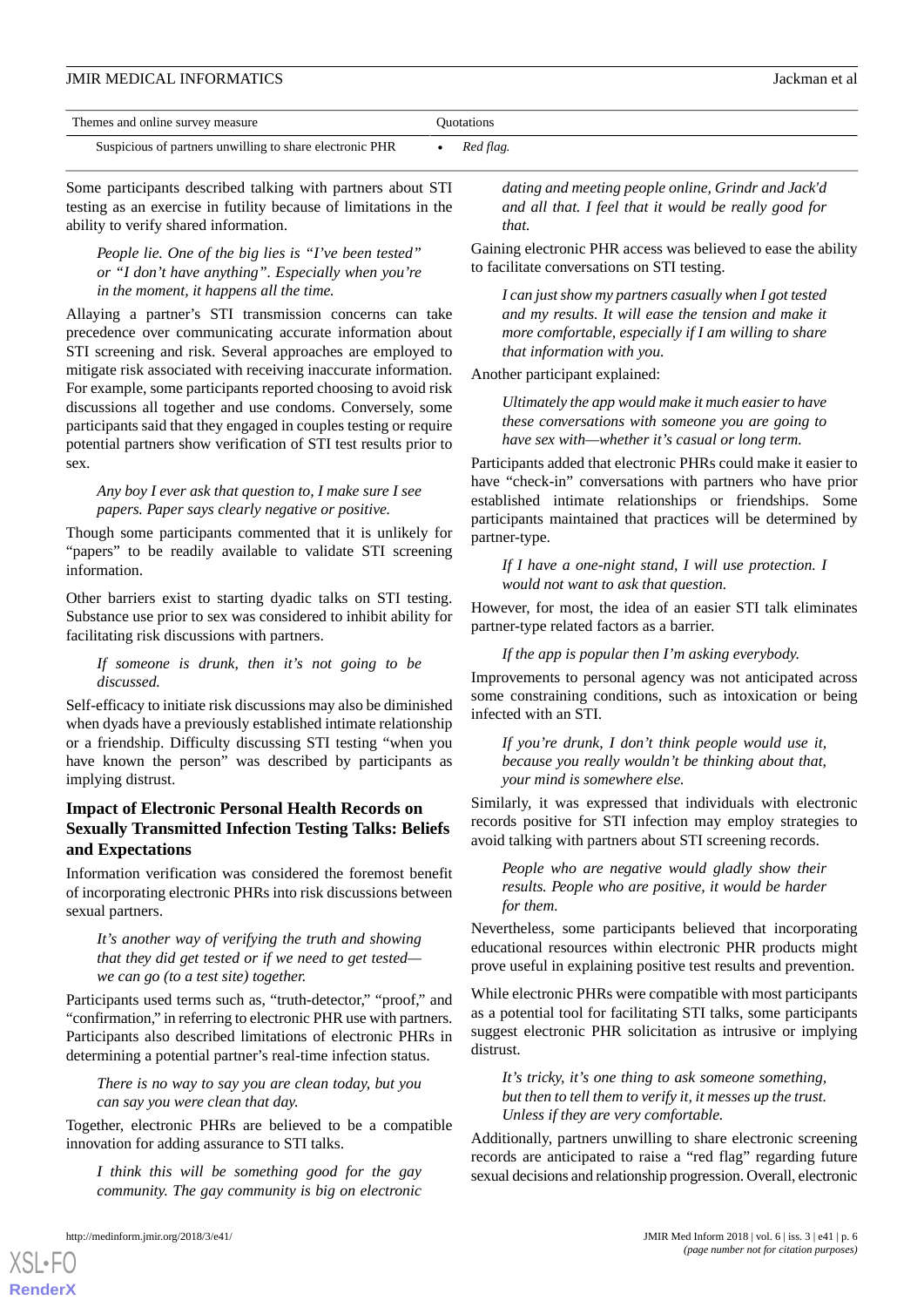| Themes and online survey measure                         | Ouotations |
|----------------------------------------------------------|------------|
| Suspicious of partners unwilling to share electronic PHR | Red flag.  |

Some participants described talking with partners about STI testing as an exercise in futility because of limitations in the ability to verify shared information.

*People lie. One of the big lies is "I've been tested" or "I don't have anything". Especially when you're in the moment, it happens all the time.*

Allaying a partner's STI transmission concerns can take precedence over communicating accurate information about STI screening and risk. Several approaches are employed to mitigate risk associated with receiving inaccurate information. For example, some participants reported choosing to avoid risk discussions all together and use condoms. Conversely, some participants said that they engaged in couples testing or require potential partners show verification of STI test results prior to sex.

#### *Any boy I ever ask that question to, I make sure I see papers. Paper says clearly negative or positive.*

Though some participants commented that it is unlikely for "papers" to be readily available to validate STI screening information.

Other barriers exist to starting dyadic talks on STI testing. Substance use prior to sex was considered to inhibit ability for facilitating risk discussions with partners.

#### *If someone is drunk, then it's not going to be discussed.*

Self-efficacy to initiate risk discussions may also be diminished when dyads have a previously established intimate relationship or a friendship. Difficulty discussing STI testing "when you have known the person" was described by participants as implying distrust.

### **Impact of Electronic Personal Health Records on Sexually Transmitted Infection Testing Talks: Beliefs and Expectations**

Information verification was considered the foremost benefit of incorporating electronic PHRs into risk discussions between sexual partners.

*It's another way of verifying the truth and showing that they did get tested or if we need to get tested we can go (to a test site) together.*

Participants used terms such as, "truth-detector," "proof," and "confirmation," in referring to electronic PHR use with partners. Participants also described limitations of electronic PHRs in determining a potential partner's real-time infection status.

*There is no way to say you are clean today, but you can say you were clean that day.*

Together, electronic PHRs are believed to be a compatible innovation for adding assurance to STI talks.

*I think this will be something good for the gay community. The gay community is big on electronic*

[XSL](http://www.w3.org/Style/XSL)•FO **[RenderX](http://www.renderx.com/)**

*dating and meeting people online, Grindr and Jack'd and all that. I feel that it would be really good for that.*

Gaining electronic PHR access was believed to ease the ability to facilitate conversations on STI testing.

*I can just show my partners casually when I got tested and my results. It will ease the tension and make it more comfortable, especially if I am willing to share that information with you.*

#### Another participant explained:

*Ultimately the app would make it much easier to have these conversations with someone you are going to have sex with—whether it's casual or long term.*

Participants added that electronic PHRs could make it easier to have "check-in" conversations with partners who have prior established intimate relationships or friendships. Some participants maintained that practices will be determined by partner-type.

*If I have a one-night stand, I will use protection. I would not want to ask that question.*

However, for most, the idea of an easier STI talk eliminates partner-type related factors as a barrier.

*If the app is popular then I'm asking everybody.*

Improvements to personal agency was not anticipated across some constraining conditions, such as intoxication or being infected with an STI.

*If you're drunk, I don't think people would use it, because you really wouldn't be thinking about that, your mind is somewhere else.*

Similarly, it was expressed that individuals with electronic records positive for STI infection may employ strategies to avoid talking with partners about STI screening records.

*People who are negative would gladly show their results. People who are positive, it would be harder for them.*

Nevertheless, some participants believed that incorporating educational resources within electronic PHR products might prove useful in explaining positive test results and prevention.

While electronic PHRs were compatible with most participants as a potential tool for facilitating STI talks, some participants suggest electronic PHR solicitation as intrusive or implying distrust.

*It's tricky, it's one thing to ask someone something, but then to tell them to verify it, it messes up the trust. Unless if they are very comfortable.*

Additionally, partners unwilling to share electronic screening records are anticipated to raise a "red flag" regarding future sexual decisions and relationship progression. Overall, electronic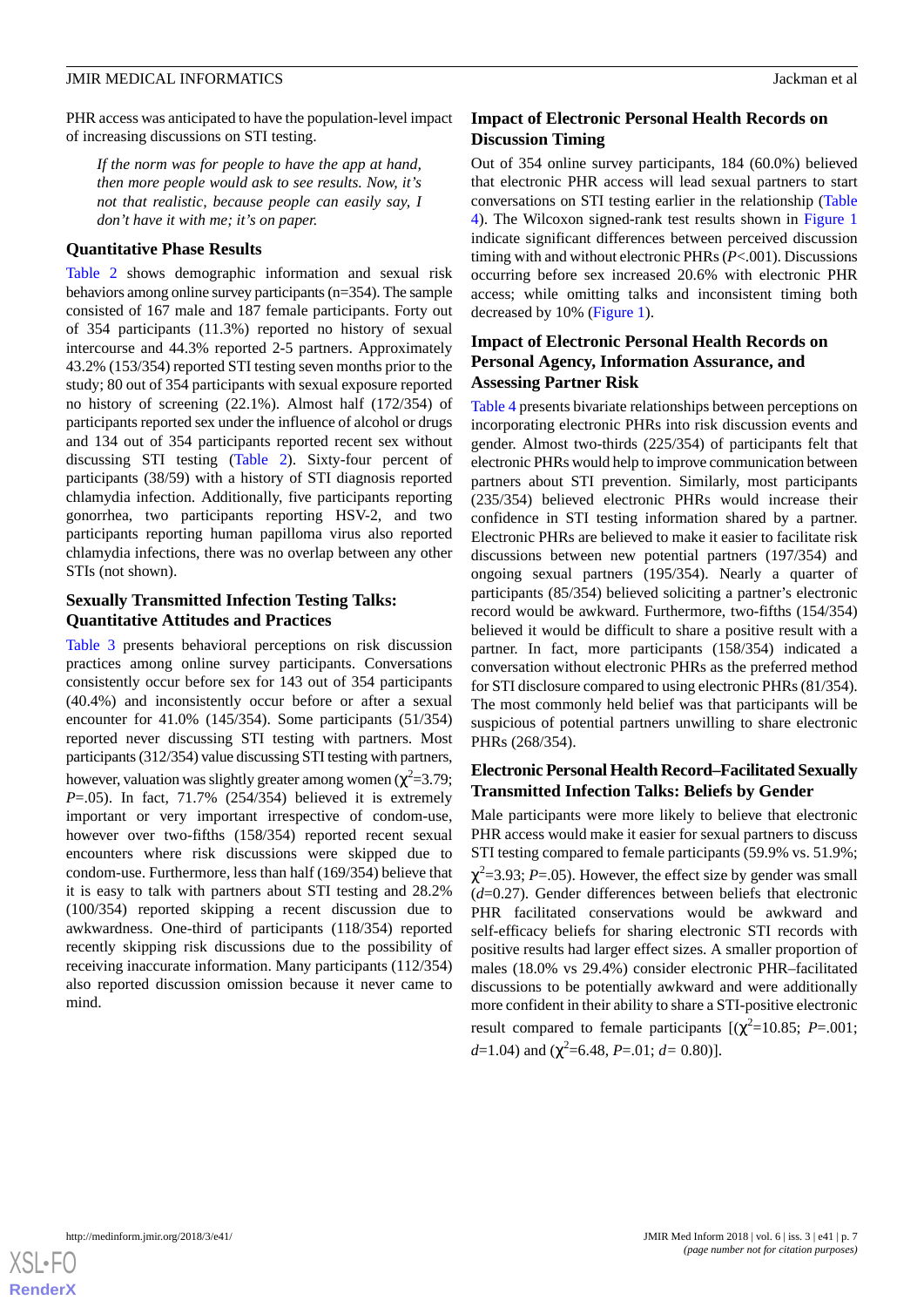PHR access was anticipated to have the population-level impact of increasing discussions on STI testing.

*If the norm was for people to have the app at hand, then more people would ask to see results. Now, it's not that realistic, because people can easily say, I don't have it with me; it's on paper.*

#### **Quantitative Phase Results**

[Table 2](#page-7-0) shows demographic information and sexual risk behaviors among online survey participants (n=354). The sample consisted of 167 male and 187 female participants. Forty out of 354 participants (11.3%) reported no history of sexual intercourse and 44.3% reported 2-5 partners. Approximately 43.2% (153/354) reported STI testing seven months prior to the study; 80 out of 354 participants with sexual exposure reported no history of screening (22.1%). Almost half (172/354) of participants reported sex under the influence of alcohol or drugs and 134 out of 354 participants reported recent sex without discussing STI testing ([Table 2](#page-7-0)). Sixty-four percent of participants (38/59) with a history of STI diagnosis reported chlamydia infection. Additionally, five participants reporting gonorrhea, two participants reporting HSV-2, and two participants reporting human papilloma virus also reported chlamydia infections, there was no overlap between any other STIs (not shown).

### **Sexually Transmitted Infection Testing Talks: Quantitative Attitudes and Practices**

[Table 3](#page-8-0) presents behavioral perceptions on risk discussion practices among online survey participants. Conversations consistently occur before sex for 143 out of 354 participants (40.4%) and inconsistently occur before or after a sexual encounter for 41.0% (145/354). Some participants (51/354) reported never discussing STI testing with partners. Most participants (312/354) value discussing STI testing with partners, however, valuation was slightly greater among women ( $\chi^2$ =3.79; *P*=.05). In fact, 71.7% (254/354) believed it is extremely important or very important irrespective of condom-use, however over two-fifths (158/354) reported recent sexual encounters where risk discussions were skipped due to condom-use. Furthermore, less than half (169/354) believe that it is easy to talk with partners about STI testing and 28.2% (100/354) reported skipping a recent discussion due to awkwardness. One-third of participants (118/354) reported recently skipping risk discussions due to the possibility of receiving inaccurate information. Many participants (112/354) also reported discussion omission because it never came to mind.

### **Impact of Electronic Personal Health Records on Discussion Timing**

Out of 354 online survey participants, 184 (60.0%) believed that electronic PHR access will lead sexual partners to start conversations on STI testing earlier in the relationship ([Table](#page-9-0) [4\)](#page-9-0). The Wilcoxon signed-rank test results shown in [Figure 1](#page-10-0) indicate significant differences between perceived discussion timing with and without electronic PHRs (*P*<.001). Discussions occurring before sex increased 20.6% with electronic PHR access; while omitting talks and inconsistent timing both decreased by 10% [\(Figure 1\)](#page-10-0).

# **Impact of Electronic Personal Health Records on Personal Agency, Information Assurance, and Assessing Partner Risk**

[Table 4](#page-9-0) presents bivariate relationships between perceptions on incorporating electronic PHRs into risk discussion events and gender. Almost two-thirds (225/354) of participants felt that electronic PHRs would help to improve communication between partners about STI prevention. Similarly, most participants (235/354) believed electronic PHRs would increase their confidence in STI testing information shared by a partner. Electronic PHRs are believed to make it easier to facilitate risk discussions between new potential partners (197/354) and ongoing sexual partners (195/354). Nearly a quarter of participants (85/354) believed soliciting a partner's electronic record would be awkward. Furthermore, two-fifths (154/354) believed it would be difficult to share a positive result with a partner. In fact, more participants (158/354) indicated a conversation without electronic PHRs as the preferred method for STI disclosure compared to using electronic PHRs (81/354). The most commonly held belief was that participants will be suspicious of potential partners unwilling to share electronic PHRs (268/354).

# **Electronic Personal Health Record–Facilitated Sexually Transmitted Infection Talks: Beliefs by Gender**

Male participants were more likely to believe that electronic PHR access would make it easier for sexual partners to discuss STI testing compared to female participants (59.9% vs. 51.9%;  $\chi^2$ =3.93; *P*=.05). However, the effect size by gender was small (*d*=0.27). Gender differences between beliefs that electronic PHR facilitated conservations would be awkward and self-efficacy beliefs for sharing electronic STI records with positive results had larger effect sizes. A smaller proportion of males (18.0% vs 29.4%) consider electronic PHR–facilitated discussions to be potentially awkward and were additionally more confident in their ability to share a STI-positive electronic result compared to female participants  $[(\chi^2=10.85; P=.001;$ *d*=1.04) and (χ 2 =6.48, *P*=.01; *d=* 0.80)].

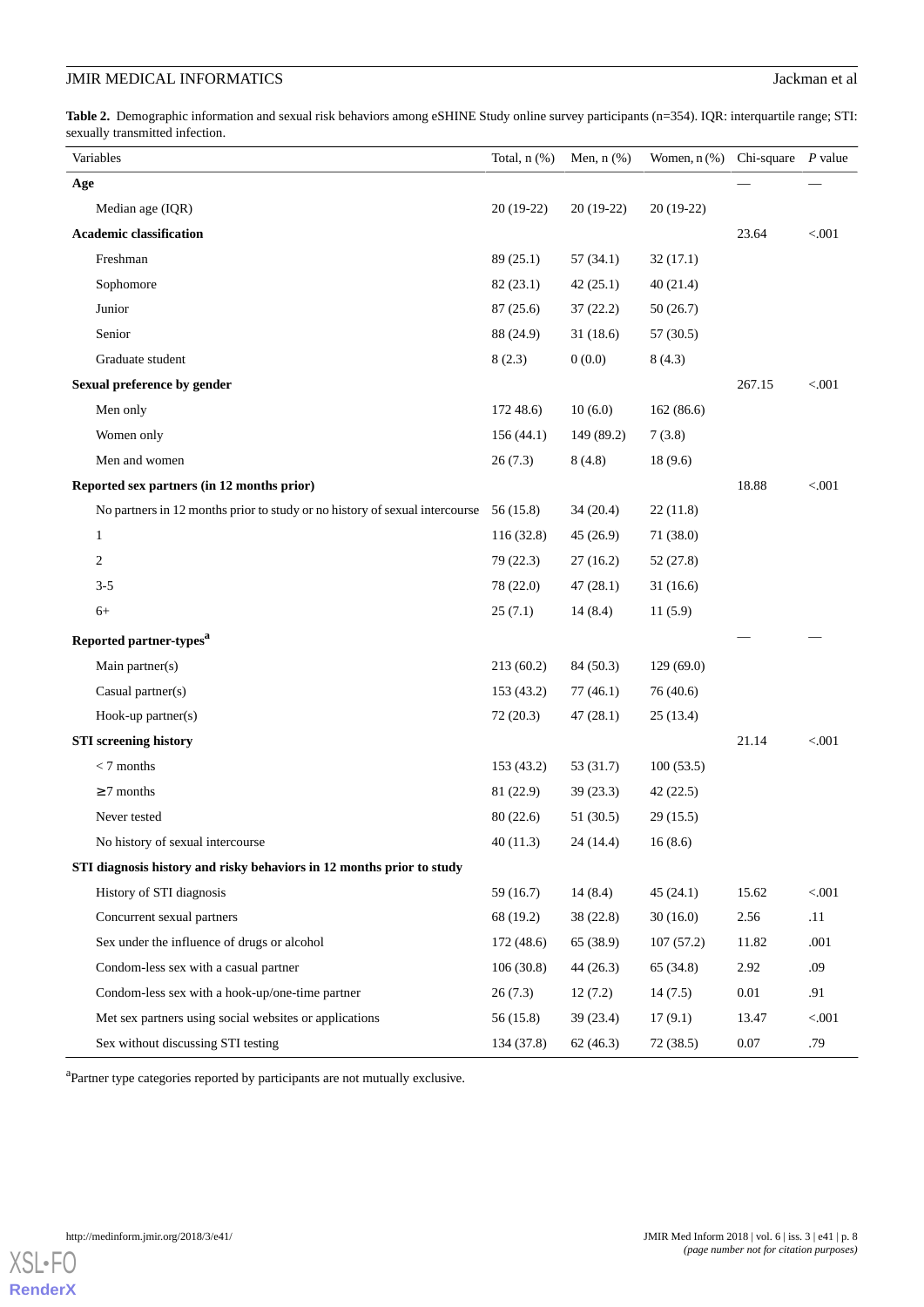<span id="page-7-0"></span>**Table 2.** Demographic information and sexual risk behaviors among eSHINE Study online survey participants (n=354). IQR: interquartile range; STI: sexually transmitted infection.

| Variables                                                                             | Total, $n$ $(\%)$ | Men, $n$ $(\%)$ | Women, $n$ $%$ ) | Chi-square | P value  |
|---------------------------------------------------------------------------------------|-------------------|-----------------|------------------|------------|----------|
| Age                                                                                   |                   |                 |                  |            |          |
| Median age (IQR)                                                                      | $20(19-22)$       | $20(19-22)$     | 20 (19-22)       |            |          |
| <b>Academic classification</b>                                                        |                   |                 |                  | 23.64      | $< 0.01$ |
| Freshman                                                                              | 89(25.1)          | 57(34.1)        | 32(17.1)         |            |          |
| Sophomore                                                                             | 82(23.1)          | 42(25.1)        | 40(21.4)         |            |          |
| Junior                                                                                | 87(25.6)          | 37(22.2)        | 50(26.7)         |            |          |
| Senior                                                                                | 88 (24.9)         | 31(18.6)        | 57 (30.5)        |            |          |
| Graduate student                                                                      | 8(2.3)            | 0(0.0)          | 8(4.3)           |            |          |
| Sexual preference by gender                                                           |                   |                 |                  | 267.15     | < .001   |
| Men only                                                                              | 17248.6           | 10(6.0)         | 162 (86.6)       |            |          |
| Women only                                                                            | 156(44.1)         | 149 (89.2)      | 7(3.8)           |            |          |
| Men and women                                                                         | 26(7.3)           | 8(4.8)          | 18(9.6)          |            |          |
| Reported sex partners (in 12 months prior)                                            |                   |                 |                  | 18.88      | $< 0.01$ |
| No partners in 12 months prior to study or no history of sexual intercourse 56 (15.8) |                   | 34(20.4)        | 22(11.8)         |            |          |
| $\mathbf{1}$                                                                          | 116(32.8)         | 45(26.9)        | 71 (38.0)        |            |          |
| 2                                                                                     | 79 (22.3)         | 27(16.2)        | 52 (27.8)        |            |          |
| $3 - 5$                                                                               | 78 (22.0)         | 47(28.1)        | 31(16.6)         |            |          |
| $6+$                                                                                  | 25(7.1)           | 14(8.4)         | 11(5.9)          |            |          |
| Reported partner-types <sup>a</sup>                                                   |                   |                 |                  |            |          |
| Main partner(s)                                                                       | 213(60.2)         | 84 (50.3)       | 129(69.0)        |            |          |
| Casual partner(s)                                                                     | 153 (43.2)        | 77(46.1)        | 76 (40.6)        |            |          |
| $Hook-up$ partner $(s)$                                                               | 72(20.3)          | 47(28.1)        | 25(13.4)         |            |          |
| <b>STI</b> screening history                                                          |                   |                 |                  | 21.14      | $< 0.01$ |
| $< 7$ months                                                                          | 153 (43.2)        | 53 (31.7)       | 100(53.5)        |            |          |
| $\geq$ 7 months                                                                       | 81 (22.9)         | 39(23.3)        | 42(22.5)         |            |          |
| Never tested                                                                          | 80(22.6)          | 51 (30.5)       | 29(15.5)         |            |          |
| No history of sexual intercourse                                                      | 40(11.3)          | 24 (14.4)       | 16(8.6)          |            |          |
| STI diagnosis history and risky behaviors in 12 months prior to study                 |                   |                 |                  |            |          |
| History of STI diagnosis                                                              | 59(16.7)          | 14(8.4)         | 45(24.1)         | 15.62      | $< 001$  |
| Concurrent sexual partners                                                            | 68 (19.2)         | 38(22.8)        | 30(16.0)         | 2.56       | .11      |
| Sex under the influence of drugs or alcohol                                           | 172 (48.6)        | 65 (38.9)       | 107(57.2)        | 11.82      | .001     |
| Condom-less sex with a casual partner                                                 | 106(30.8)         | 44(26.3)        | 65 (34.8)        | 2.92       | .09      |
| Condom-less sex with a hook-up/one-time partner                                       | 26(7.3)           | 12(7.2)         | 14(7.5)          | 0.01       | .91      |
| Met sex partners using social websites or applications                                | 56 (15.8)         | 39(23.4)        | 17(9.1)          | 13.47      | < .001   |
| Sex without discussing STI testing                                                    | 134 (37.8)        | 62(46.3)        | 72 (38.5)        | 0.07       | .79      |

<sup>a</sup>Partner type categories reported by participants are not mutually exclusive.

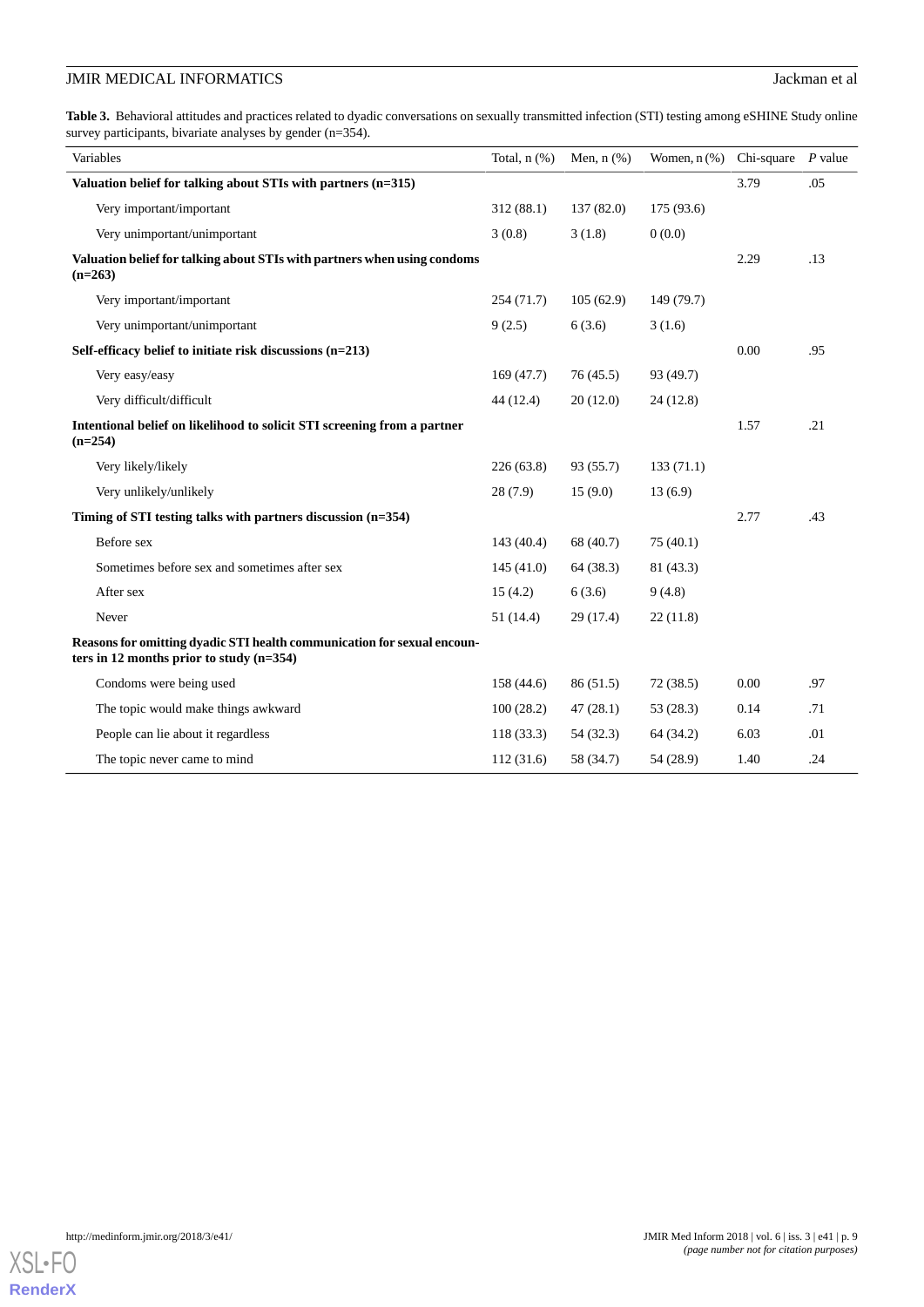<span id="page-8-0"></span>Table 3. Behavioral attitudes and practices related to dyadic conversations on sexually transmitted infection (STI) testing among eSHINE Study online survey participants, bivariate analyses by gender (n=354).

| Variables                                                                                                             | Total, $n$ $(\%)$ | Men, $n$ $(\%)$ | Women, $n$ (%) Chi-square |      | $P$ value |
|-----------------------------------------------------------------------------------------------------------------------|-------------------|-----------------|---------------------------|------|-----------|
| Valuation belief for talking about STIs with partners (n=315)                                                         |                   |                 |                           | 3.79 | .05       |
| Very important/important                                                                                              | 312(88.1)         | 137(82.0)       | 175 (93.6)                |      |           |
| Very unimportant/unimportant                                                                                          | 3(0.8)            | 3(1.8)          | 0(0.0)                    |      |           |
| Valuation belief for talking about STIs with partners when using condoms<br>$(n=263)$                                 |                   |                 |                           | 2.29 | .13       |
| Very important/important                                                                                              | 254(71.7)         | 105(62.9)       | 149 (79.7)                |      |           |
| Very unimportant/unimportant                                                                                          | 9(2.5)            | 6(3.6)          | 3(1.6)                    |      |           |
| Self-efficacy belief to initiate risk discussions $(n=213)$                                                           |                   |                 |                           | 0.00 | .95       |
| Very easy/easy                                                                                                        | 169(47.7)         | 76(45.5)        | 93 (49.7)                 |      |           |
| Very difficult/difficult                                                                                              | 44 (12.4)         | 20(12.0)        | 24(12.8)                  |      |           |
| Intentional belief on likelihood to solicit STI screening from a partner<br>$(n=254)$                                 |                   |                 |                           | 1.57 | .21       |
| Very likely/likely                                                                                                    | 226(63.8)         | 93 (55.7)       | 133(71.1)                 |      |           |
| Very unlikely/unlikely                                                                                                | 28(7.9)           | 15(9.0)         | 13(6.9)                   |      |           |
| Timing of STI testing talks with partners discussion (n=354)                                                          |                   |                 |                           | 2.77 | .43       |
| Before sex                                                                                                            | 143(40.4)         | 68 (40.7)       | 75(40.1)                  |      |           |
| Sometimes before sex and sometimes after sex                                                                          | 145(41.0)         | 64(38.3)        | 81 (43.3)                 |      |           |
| After sex                                                                                                             | 15(4.2)           | 6(3.6)          | 9(4.8)                    |      |           |
| Never                                                                                                                 | 51(14.4)          | 29(17.4)        | 22(11.8)                  |      |           |
| Reasons for omitting dyadic STI health communication for sexual encoun-<br>ters in 12 months prior to study $(n=354)$ |                   |                 |                           |      |           |
| Condoms were being used                                                                                               | 158(44.6)         | 86(51.5)        | 72(38.5)                  | 0.00 | .97       |
| The topic would make things awkward                                                                                   | 100(28.2)         | 47(28.1)        | 53 (28.3)                 | 0.14 | .71       |
| People can lie about it regardless                                                                                    | 118(33.3)         | 54 (32.3)       | 64 (34.2)                 | 6.03 | .01       |
| The topic never came to mind                                                                                          | 112(31.6)         | 58 (34.7)       | 54 (28.9)                 | 1.40 | .24       |

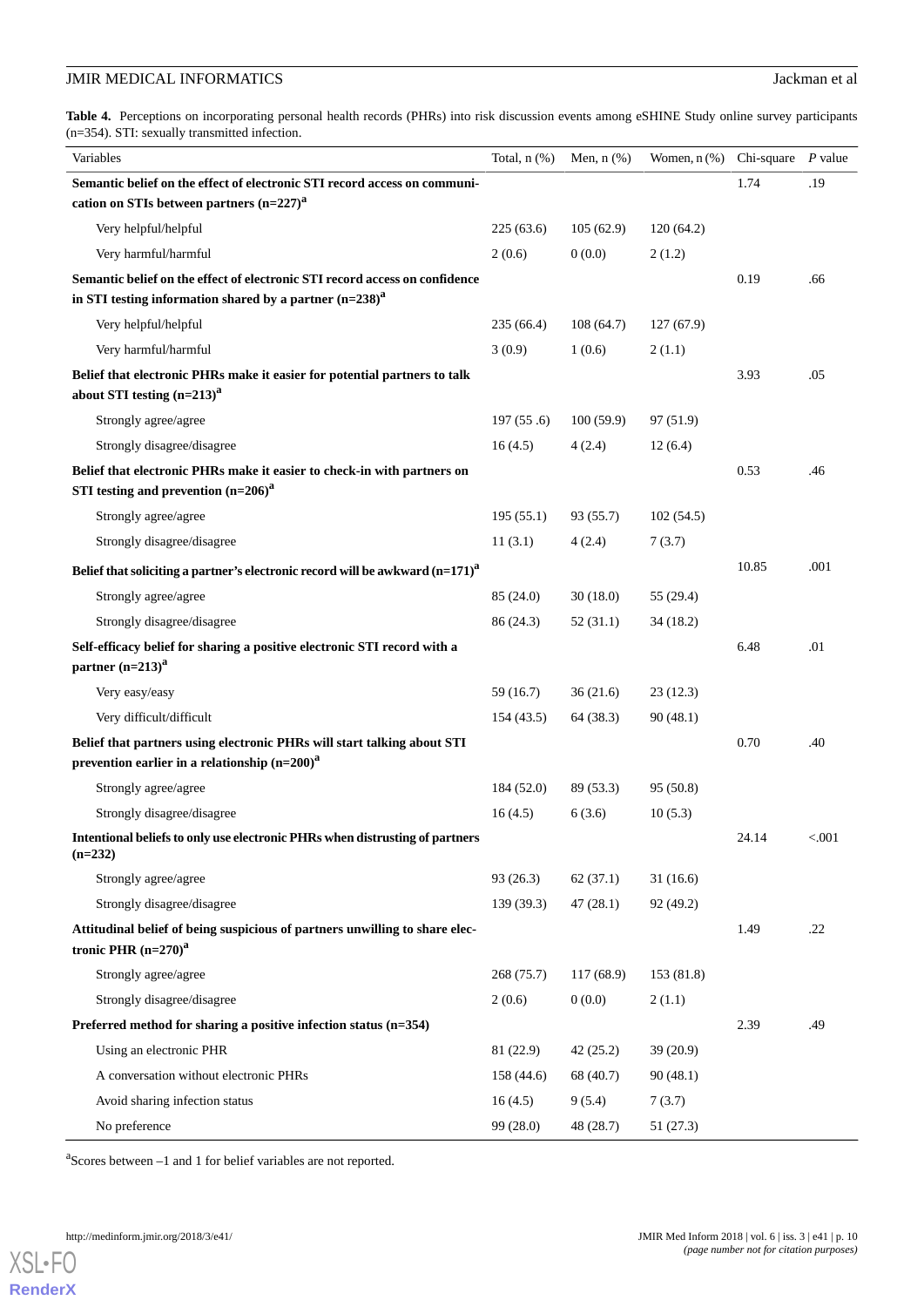<span id="page-9-0"></span>Table 4. Perceptions on incorporating personal health records (PHRs) into risk discussion events among eSHINE Study online survey participants (n=354). STI: sexually transmitted infection.

| Variables                                                                                                                                   | Total, $n$ $(\%)$ | Men, $n$ $(\%)$ | Women, $n$ (%) Chi-square |       | P value |
|---------------------------------------------------------------------------------------------------------------------------------------------|-------------------|-----------------|---------------------------|-------|---------|
| Semantic belief on the effect of electronic STI record access on communi-                                                                   |                   |                 |                           | 1.74  | .19     |
| cation on STIs between partners $(n=227)^{a}$                                                                                               |                   |                 |                           |       |         |
| Very helpful/helpful                                                                                                                        | 225(63.6)         | 105(62.9)       | 120(64.2)                 |       |         |
| Very harmful/harmful                                                                                                                        | 2(0.6)            | 0(0.0)          | 2(1.2)                    |       |         |
| Semantic belief on the effect of electronic STI record access on confidence<br>in STI testing information shared by a partner $(n=238)^{a}$ |                   |                 |                           | 0.19  | .66     |
| Very helpful/helpful                                                                                                                        | 235 (66.4)        | 108(64.7)       | 127(67.9)                 |       |         |
| Very harmful/harmful                                                                                                                        | 3(0.9)            | 1(0.6)          | 2(1.1)                    |       |         |
| Belief that electronic PHRs make it easier for potential partners to talk                                                                   |                   |                 |                           | 3.93  | .05     |
| about STI testing $(n=213)^{a}$                                                                                                             |                   |                 |                           |       |         |
| Strongly agree/agree                                                                                                                        | 197(55.6)         | 100(59.9)       | 97 (51.9)                 |       |         |
| Strongly disagree/disagree                                                                                                                  | 16(4.5)           | 4(2.4)          | 12(6.4)                   |       |         |
| Belief that electronic PHRs make it easier to check-in with partners on<br>STI testing and prevention $(n=206)^{a}$                         |                   |                 |                           | 0.53  | .46     |
| Strongly agree/agree                                                                                                                        | 195(55.1)         | 93 (55.7)       | 102(54.5)                 |       |         |
| Strongly disagree/disagree                                                                                                                  | 11(3.1)           | 4(2.4)          | 7(3.7)                    |       |         |
| Belief that soliciting a partner's electronic record will be awkward $(n=171)^{a}$                                                          |                   |                 |                           | 10.85 | .001    |
| Strongly agree/agree                                                                                                                        | 85(24.0)          | 30(18.0)        | 55 (29.4)                 |       |         |
| Strongly disagree/disagree                                                                                                                  | 86 (24.3)         | 52(31.1)        | 34 (18.2)                 |       |         |
| Self-efficacy belief for sharing a positive electronic STI record with a<br>partner $(n=213)^{a}$                                           |                   |                 |                           | 6.48  | .01     |
| Very easy/easy                                                                                                                              | 59 (16.7)         | 36(21.6)        | 23(12.3)                  |       |         |
| Very difficult/difficult                                                                                                                    | 154 (43.5)        | 64 (38.3)       | 90(48.1)                  |       |         |
| Belief that partners using electronic PHRs will start talking about STI                                                                     |                   |                 |                           | 0.70  | .40     |
| prevention earlier in a relationship $(n=200)^{a}$                                                                                          |                   |                 |                           |       |         |
| Strongly agree/agree                                                                                                                        | 184 (52.0)        | 89 (53.3)       | 95 (50.8)                 |       |         |
| Strongly disagree/disagree                                                                                                                  | 16(4.5)           | 6(3.6)          | 10(5.3)                   |       |         |
| Intentional beliefs to only use electronic PHRs when distrusting of partners<br>$(n=232)$                                                   |                   |                 |                           | 24.14 | < 0.001 |
| Strongly agree/agree                                                                                                                        | 93(26.3)          | 62(37.1)        | 31(16.6)                  |       |         |
| Strongly disagree/disagree                                                                                                                  | 139(39.3)         | 47(28.1)        | 92(49.2)                  |       |         |
| Attitudinal belief of being suspicious of partners unwilling to share elec-<br>tronic PHR $(n=270)^a$                                       |                   |                 |                           | 1.49  | .22     |
| Strongly agree/agree                                                                                                                        | 268(75.7)         | 117(68.9)       | 153(81.8)                 |       |         |
| Strongly disagree/disagree                                                                                                                  | 2(0.6)            | 0(0.0)          | 2(1.1)                    |       |         |
| Preferred method for sharing a positive infection status (n=354)                                                                            |                   |                 |                           | 2.39  | .49     |
| Using an electronic PHR                                                                                                                     | 81 (22.9)         | 42(25.2)        | 39(20.9)                  |       |         |
| A conversation without electronic PHRs                                                                                                      | 158 (44.6)        | 68 (40.7)       | 90(48.1)                  |       |         |
| Avoid sharing infection status                                                                                                              | 16(4.5)           | 9(5.4)          | 7(3.7)                    |       |         |
| No preference                                                                                                                               | 99 (28.0)         | 48 (28.7)       | 51 (27.3)                 |       |         |

a Scores between –1 and 1 for belief variables are not reported.



**[RenderX](http://www.renderx.com/)**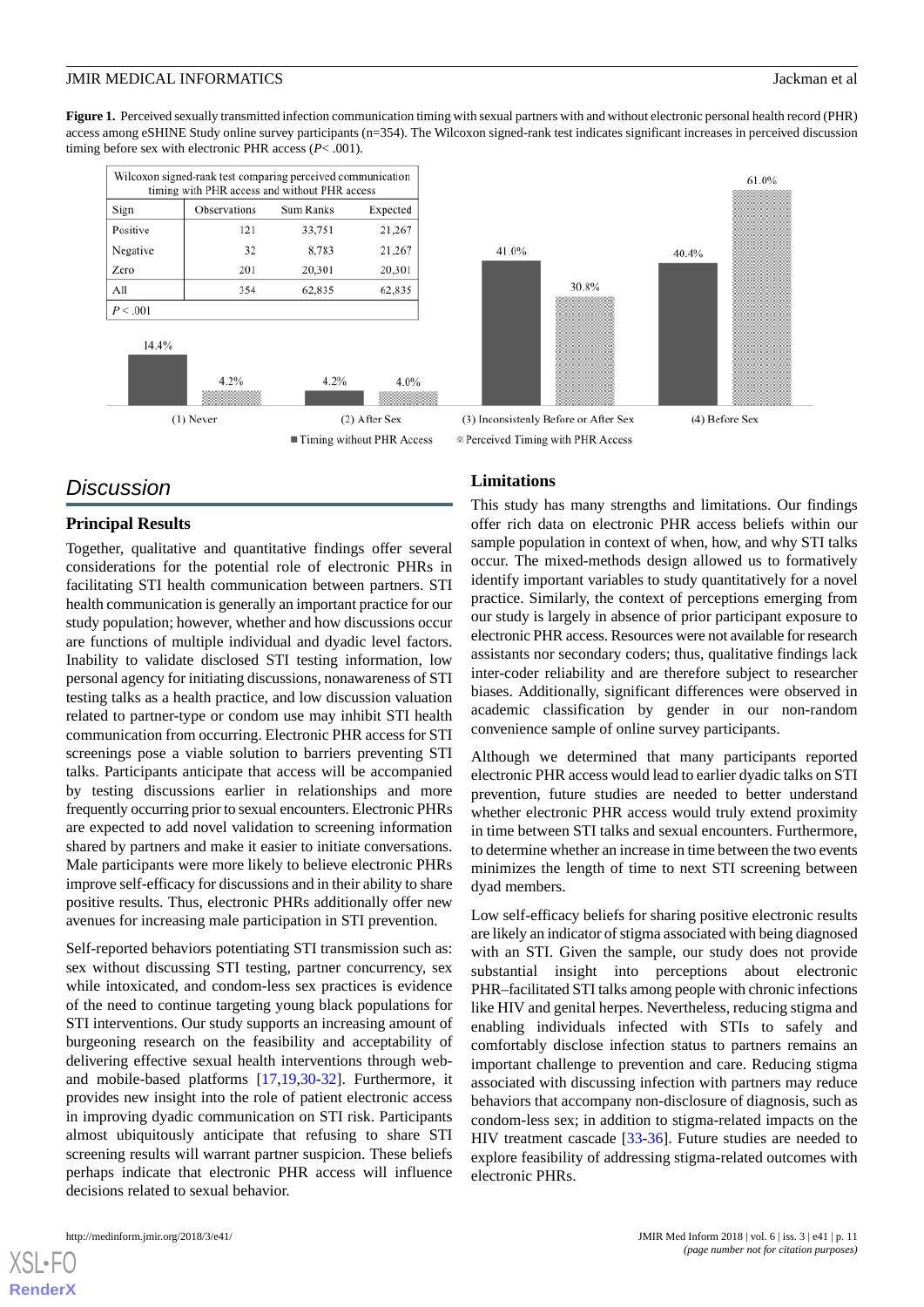<span id="page-10-0"></span>Figure 1. Perceived sexually transmitted infection communication timing with sexual partners with and without electronic personal health record (PHR) access among eSHINE Study online survey participants (n=354). The Wilcoxon signed-rank test indicates significant increases in perceived discussion timing before sex with electronic PHR access (*P*< .001).

|             | Wilcoxon signed-rank test comparing perceived communication<br>timing with PHR access and without PHR access |           |                             |  |  |
|-------------|--------------------------------------------------------------------------------------------------------------|-----------|-----------------------------|--|--|
| Sign        | Observations                                                                                                 | Sum Ranks | Expected                    |  |  |
| Positive    | 121                                                                                                          | 33,751    | 21,267                      |  |  |
| Negative    | 32                                                                                                           | 8,783     | 21,267                      |  |  |
| Zero        | 201                                                                                                          | 20,301    | 20,301                      |  |  |
| All         | 354                                                                                                          | 62,835    | 62,835                      |  |  |
| P < .001    |                                                                                                              |           |                             |  |  |
| 14.4%       |                                                                                                              |           |                             |  |  |
|             | 4.2%                                                                                                         | 4.2%      | 4.0%                        |  |  |
| $(1)$ Never |                                                                                                              |           | (2) After Sex               |  |  |
|             |                                                                                                              |           | ■ Timing without PHR Access |  |  |

# *Discussion*

#### **Principal Results**

Together, qualitative and quantitative findings offer several considerations for the potential role of electronic PHRs in facilitating STI health communication between partners. STI health communication is generally an important practice for our study population; however, whether and how discussions occur are functions of multiple individual and dyadic level factors. Inability to validate disclosed STI testing information, low personal agency for initiating discussions, nonawareness of STI testing talks as a health practice, and low discussion valuation related to partner-type or condom use may inhibit STI health communication from occurring. Electronic PHR access for STI screenings pose a viable solution to barriers preventing STI talks. Participants anticipate that access will be accompanied by testing discussions earlier in relationships and more frequently occurring prior to sexual encounters. Electronic PHRs are expected to add novel validation to screening information shared by partners and make it easier to initiate conversations. Male participants were more likely to believe electronic PHRs improve self-efficacy for discussions and in their ability to share positive results. Thus, electronic PHRs additionally offer new avenues for increasing male participation in STI prevention.

Self-reported behaviors potentiating STI transmission such as: sex without discussing STI testing, partner concurrency, sex while intoxicated, and condom-less sex practices is evidence of the need to continue targeting young black populations for STI interventions. Our study supports an increasing amount of burgeoning research on the feasibility and acceptability of delivering effective sexual health interventions through weband mobile-based platforms [[17,](#page-12-15)[19](#page-12-4),[30-](#page-12-16)[32\]](#page-12-17). Furthermore, it provides new insight into the role of patient electronic access in improving dyadic communication on STI risk. Participants almost ubiquitously anticipate that refusing to share STI screening results will warrant partner suspicion. These beliefs perhaps indicate that electronic PHR access will influence decisions related to sexual behavior.





#### **Limitations**

This study has many strengths and limitations. Our findings offer rich data on electronic PHR access beliefs within our sample population in context of when, how, and why STI talks occur. The mixed-methods design allowed us to formatively identify important variables to study quantitatively for a novel practice. Similarly, the context of perceptions emerging from our study is largely in absence of prior participant exposure to electronic PHR access. Resources were not available for research assistants nor secondary coders; thus, qualitative findings lack inter-coder reliability and are therefore subject to researcher biases. Additionally, significant differences were observed in academic classification by gender in our non-random convenience sample of online survey participants.

Although we determined that many participants reported electronic PHR access would lead to earlier dyadic talks on STI prevention, future studies are needed to better understand whether electronic PHR access would truly extend proximity in time between STI talks and sexual encounters. Furthermore, to determine whether an increase in time between the two events minimizes the length of time to next STI screening between dyad members.

Low self-efficacy beliefs for sharing positive electronic results are likely an indicator of stigma associated with being diagnosed with an STI. Given the sample, our study does not provide substantial insight into perceptions about electronic PHR–facilitated STI talks among people with chronic infections like HIV and genital herpes. Nevertheless, reducing stigma and enabling individuals infected with STIs to safely and comfortably disclose infection status to partners remains an important challenge to prevention and care. Reducing stigma associated with discussing infection with partners may reduce behaviors that accompany non-disclosure of diagnosis, such as condom-less sex; in addition to stigma-related impacts on the HIV treatment cascade [\[33](#page-12-18)[-36](#page-13-0)]. Future studies are needed to explore feasibility of addressing stigma-related outcomes with electronic PHRs.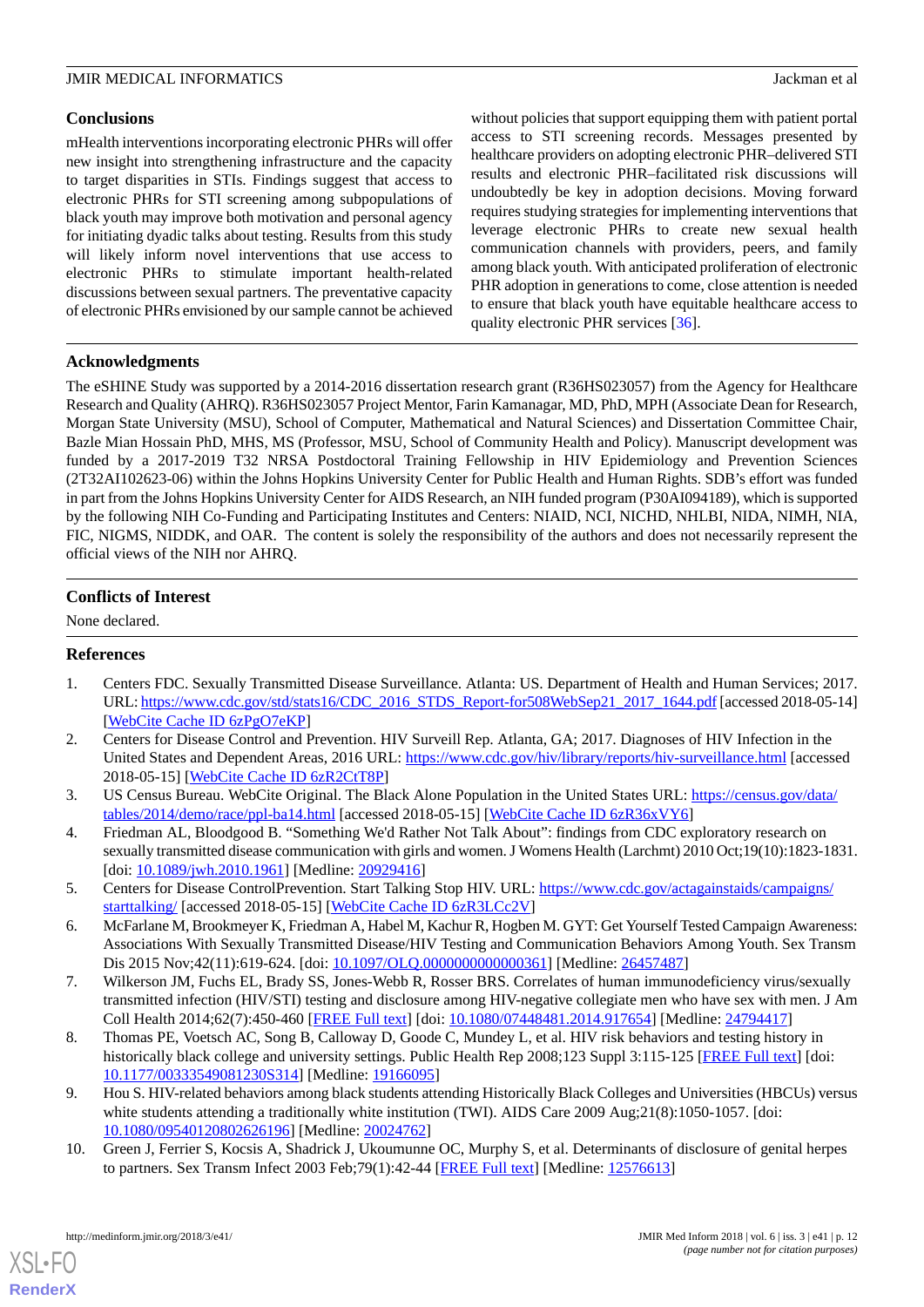#### **Conclusions**

mHealth interventions incorporating electronic PHRs will offer new insight into strengthening infrastructure and the capacity to target disparities in STIs. Findings suggest that access to electronic PHRs for STI screening among subpopulations of black youth may improve both motivation and personal agency for initiating dyadic talks about testing. Results from this study will likely inform novel interventions that use access to electronic PHRs to stimulate important health-related discussions between sexual partners. The preventative capacity of electronic PHRs envisioned by our sample cannot be achieved without policies that support equipping them with patient portal access to STI screening records. Messages presented by healthcare providers on adopting electronic PHR–delivered STI results and electronic PHR–facilitated risk discussions will undoubtedly be key in adoption decisions. Moving forward requires studying strategies for implementing interventions that leverage electronic PHRs to create new sexual health communication channels with providers, peers, and family among black youth. With anticipated proliferation of electronic PHR adoption in generations to come, close attention is needed to ensure that black youth have equitable healthcare access to quality electronic PHR services [[36\]](#page-13-0).

#### **Acknowledgments**

The eSHINE Study was supported by a 2014-2016 dissertation research grant (R36HS023057) from the Agency for Healthcare Research and Quality (AHRQ). R36HS023057 Project Mentor, Farin Kamanagar, MD, PhD, MPH (Associate Dean for Research, Morgan State University (MSU), School of Computer, Mathematical and Natural Sciences) and Dissertation Committee Chair, Bazle Mian Hossain PhD, MHS, MS (Professor, MSU, School of Community Health and Policy). Manuscript development was funded by a 2017-2019 T32 NRSA Postdoctoral Training Fellowship in HIV Epidemiology and Prevention Sciences (2T32AI102623-06) within the Johns Hopkins University Center for Public Health and Human Rights. SDB's effort was funded in part from the Johns Hopkins University Center for AIDS Research, an NIH funded program (P30AI094189), which is supported by the following NIH Co-Funding and Participating Institutes and Centers: NIAID, NCI, NICHD, NHLBI, NIDA, NIMH, NIA, FIC, NIGMS, NIDDK, and OAR. The content is solely the responsibility of the authors and does not necessarily represent the official views of the NIH nor AHRQ.

#### **Conflicts of Interest**

<span id="page-11-0"></span>None declared.

#### **References**

- 1. Centers FDC. Sexually Transmitted Disease Surveillance. Atlanta: US. Department of Health and Human Services; 2017. URL: [https://www.cdc.gov/std/stats16/CDC\\_2016\\_STDS\\_Report-for508WebSep21\\_2017\\_1644.pdf](https://www.cdc.gov/std/stats16/CDC_2016_STDS_Report-for508WebSep21_2017_1644.pdf) [accessed 2018-05-14] [[WebCite Cache ID 6zPgO7eKP](http://www.webcitation.org/

                                6zPgO7eKP)]
- <span id="page-11-2"></span><span id="page-11-1"></span>2. Centers for Disease Control and Prevention. HIV Surveill Rep. Atlanta, GA; 2017. Diagnoses of HIV Infection in the United States and Dependent Areas, 2016 URL: <https://www.cdc.gov/hiv/library/reports/hiv-surveillance.html> [accessed 2018-05-15] [\[WebCite Cache ID 6zR2CtT8P](http://www.webcitation.org/

                                6zR2CtT8P)]
- <span id="page-11-3"></span>3. US Census Bureau. WebCite Original. The Black Alone Population in the United States URL: [https://census.gov/data/](https://census.gov/data/tables/2014/demo/race/ppl-ba14.html) [tables/2014/demo/race/ppl-ba14.html](https://census.gov/data/tables/2014/demo/race/ppl-ba14.html) [accessed 2018-05-15] [\[WebCite Cache ID 6zR36xVY6\]](http://www.webcitation.org/

                                6zR36xVY6)
- <span id="page-11-4"></span>4. Friedman AL, Bloodgood B. "Something We'd Rather Not Talk About": findings from CDC exploratory research on sexually transmitted disease communication with girls and women. J Womens Health (Larchmt) 2010 Oct;19(10):1823-1831. [doi: [10.1089/jwh.2010.1961](http://dx.doi.org/10.1089/jwh.2010.1961)] [Medline: [20929416\]](http://www.ncbi.nlm.nih.gov/entrez/query.fcgi?cmd=Retrieve&db=PubMed&list_uids=20929416&dopt=Abstract)
- <span id="page-11-5"></span>5. Centers for Disease ControlPrevention. Start Talking Stop HIV. URL: [https://www.cdc.gov/actagainstaids/campaigns/](https://www.cdc.gov/actagainstaids/campaigns/starttalking/) [starttalking/](https://www.cdc.gov/actagainstaids/campaigns/starttalking/) [accessed 2018-05-15] [\[WebCite Cache ID 6zR3LCc2V\]](http://www.webcitation.org/

                                6zR3LCc2V)
- <span id="page-11-6"></span>6. McFarlane M, Brookmeyer K, Friedman A, Habel M, Kachur R, Hogben M. GYT: Get Yourself Tested Campaign Awareness: Associations With Sexually Transmitted Disease/HIV Testing and Communication Behaviors Among Youth. Sex Transm Dis 2015 Nov;42(11):619-624. [doi: [10.1097/OLQ.0000000000000361\]](http://dx.doi.org/10.1097/OLQ.0000000000000361) [Medline: [26457487](http://www.ncbi.nlm.nih.gov/entrez/query.fcgi?cmd=Retrieve&db=PubMed&list_uids=26457487&dopt=Abstract)]
- <span id="page-11-7"></span>7. Wilkerson JM, Fuchs EL, Brady SS, Jones-Webb R, Rosser BRS. Correlates of human immunodeficiency virus/sexually transmitted infection (HIV/STI) testing and disclosure among HIV-negative collegiate men who have sex with men. J Am Coll Health 2014;62(7):450-460 [[FREE Full text](http://europepmc.org/abstract/MED/24794417)] [doi: [10.1080/07448481.2014.917654\]](http://dx.doi.org/10.1080/07448481.2014.917654) [Medline: [24794417\]](http://www.ncbi.nlm.nih.gov/entrez/query.fcgi?cmd=Retrieve&db=PubMed&list_uids=24794417&dopt=Abstract)
- <span id="page-11-8"></span>8. Thomas PE, Voetsch AC, Song B, Calloway D, Goode C, Mundey L, et al. HIV risk behaviors and testing history in historically black college and university settings. Public Health Rep 2008;123 Suppl 3:115-125 [[FREE Full text](http://europepmc.org/abstract/MED/19166095)] [doi: [10.1177/00333549081230S314](http://dx.doi.org/10.1177/00333549081230S314)] [Medline: [19166095](http://www.ncbi.nlm.nih.gov/entrez/query.fcgi?cmd=Retrieve&db=PubMed&list_uids=19166095&dopt=Abstract)]
- 9. Hou S. HIV-related behaviors among black students attending Historically Black Colleges and Universities (HBCUs) versus white students attending a traditionally white institution (TWI). AIDS Care 2009 Aug;21(8):1050-1057. [doi: [10.1080/09540120802626196\]](http://dx.doi.org/10.1080/09540120802626196) [Medline: [20024762\]](http://www.ncbi.nlm.nih.gov/entrez/query.fcgi?cmd=Retrieve&db=PubMed&list_uids=20024762&dopt=Abstract)
- 10. Green J, Ferrier S, Kocsis A, Shadrick J, Ukoumunne OC, Murphy S, et al. Determinants of disclosure of genital herpes to partners. Sex Transm Infect 2003 Feb;79(1):42-44 [[FREE Full text](http://sti.bmj.com/cgi/pmidlookup?view=long&pmid=12576613)] [Medline: [12576613\]](http://www.ncbi.nlm.nih.gov/entrez/query.fcgi?cmd=Retrieve&db=PubMed&list_uids=12576613&dopt=Abstract)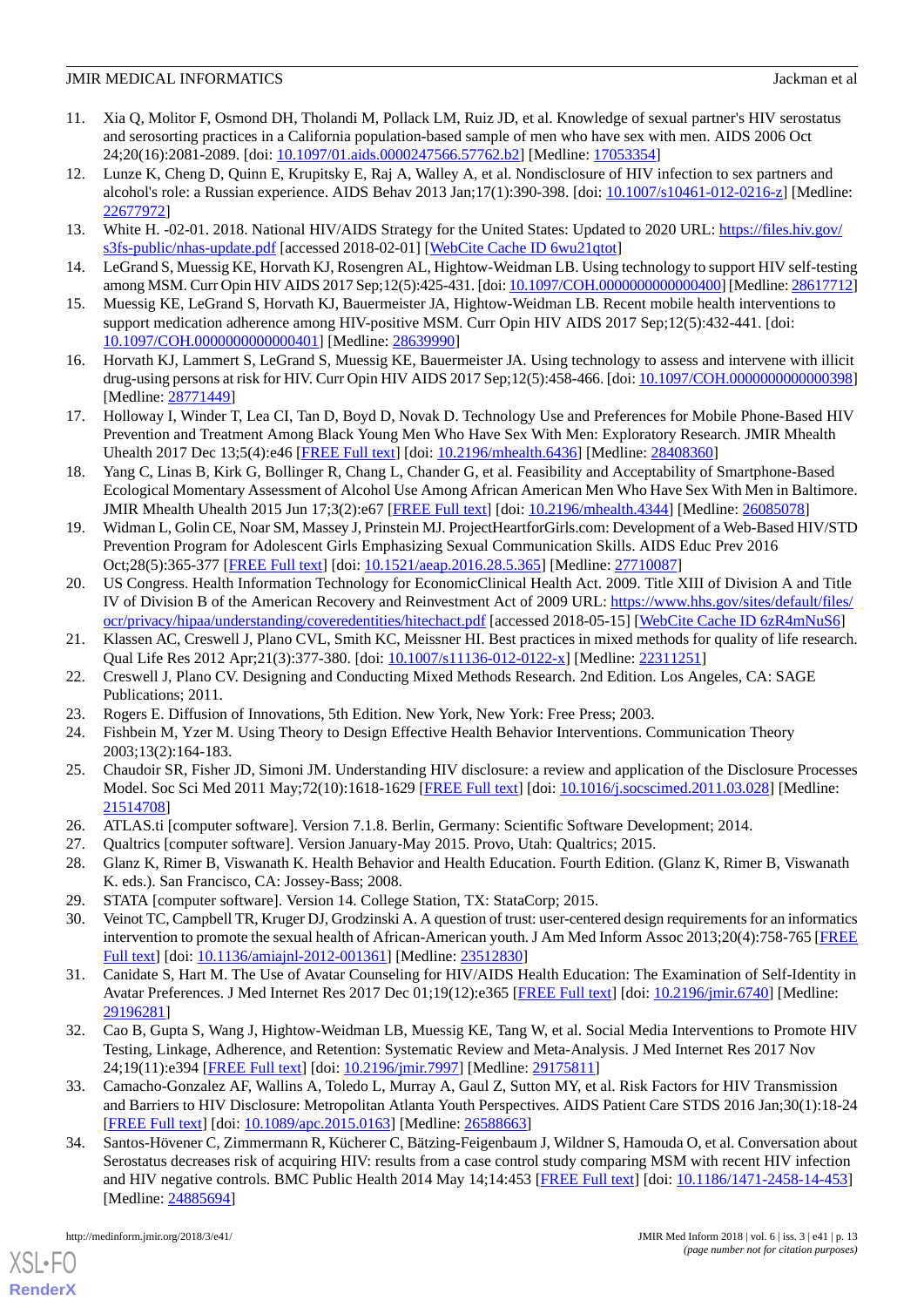- <span id="page-12-0"></span>11. Xia Q, Molitor F, Osmond DH, Tholandi M, Pollack LM, Ruiz JD, et al. Knowledge of sexual partner's HIV serostatus and serosorting practices in a California population-based sample of men who have sex with men. AIDS 2006 Oct 24;20(16):2081-2089. [doi: [10.1097/01.aids.0000247566.57762.b2\]](http://dx.doi.org/10.1097/01.aids.0000247566.57762.b2) [Medline: [17053354\]](http://www.ncbi.nlm.nih.gov/entrez/query.fcgi?cmd=Retrieve&db=PubMed&list_uids=17053354&dopt=Abstract)
- <span id="page-12-1"></span>12. Lunze K, Cheng D, Quinn E, Krupitsky E, Raj A, Walley A, et al. Nondisclosure of HIV infection to sex partners and alcohol's role: a Russian experience. AIDS Behav 2013 Jan;17(1):390-398. [doi: [10.1007/s10461-012-0216-z](http://dx.doi.org/10.1007/s10461-012-0216-z)] [Medline: [22677972](http://www.ncbi.nlm.nih.gov/entrez/query.fcgi?cmd=Retrieve&db=PubMed&list_uids=22677972&dopt=Abstract)]
- <span id="page-12-3"></span><span id="page-12-2"></span>13. White H. -02-01. 2018. National HIV/AIDS Strategy for the United States: Updated to 2020 URL: [https://files.hiv.gov/](https://files.hiv.gov/s3fs-public/nhas-update.pdf) [s3fs-public/nhas-update.pdf](https://files.hiv.gov/s3fs-public/nhas-update.pdf) [accessed 2018-02-01] [\[WebCite Cache ID 6wu21qtot\]](http://www.webcitation.org/

                                6wu21qtot)
- 14. LeGrand S, Muessig KE, Horvath KJ, Rosengren AL, Hightow-Weidman LB. Using technology to support HIV self-testing among MSM. Curr Opin HIV AIDS 2017 Sep;12(5):425-431. [doi: [10.1097/COH.0000000000000400\]](http://dx.doi.org/10.1097/COH.0000000000000400) [Medline: [28617712\]](http://www.ncbi.nlm.nih.gov/entrez/query.fcgi?cmd=Retrieve&db=PubMed&list_uids=28617712&dopt=Abstract)
- 15. Muessig KE, LeGrand S, Horvath KJ, Bauermeister JA, Hightow-Weidman LB. Recent mobile health interventions to support medication adherence among HIV-positive MSM. Curr Opin HIV AIDS 2017 Sep;12(5):432-441. [doi: [10.1097/COH.0000000000000401](http://dx.doi.org/10.1097/COH.0000000000000401)] [Medline: [28639990](http://www.ncbi.nlm.nih.gov/entrez/query.fcgi?cmd=Retrieve&db=PubMed&list_uids=28639990&dopt=Abstract)]
- <span id="page-12-15"></span>16. Horvath KJ, Lammert S, LeGrand S, Muessig KE, Bauermeister JA. Using technology to assess and intervene with illicit drug-using persons at risk for HIV. Curr Opin HIV AIDS 2017 Sep;12(5):458-466. [doi: [10.1097/COH.0000000000000398\]](http://dx.doi.org/10.1097/COH.0000000000000398) [Medline: [28771449](http://www.ncbi.nlm.nih.gov/entrez/query.fcgi?cmd=Retrieve&db=PubMed&list_uids=28771449&dopt=Abstract)]
- 17. Holloway I, Winder T, Lea CI, Tan D, Boyd D, Novak D. Technology Use and Preferences for Mobile Phone-Based HIV Prevention and Treatment Among Black Young Men Who Have Sex With Men: Exploratory Research. JMIR Mhealth Uhealth 2017 Dec 13;5(4):e46 [\[FREE Full text\]](http://mhealth.jmir.org/2017/4/e46/) [doi: [10.2196/mhealth.6436\]](http://dx.doi.org/10.2196/mhealth.6436) [Medline: [28408360\]](http://www.ncbi.nlm.nih.gov/entrez/query.fcgi?cmd=Retrieve&db=PubMed&list_uids=28408360&dopt=Abstract)
- <span id="page-12-4"></span>18. Yang C, Linas B, Kirk G, Bollinger R, Chang L, Chander G, et al. Feasibility and Acceptability of Smartphone-Based Ecological Momentary Assessment of Alcohol Use Among African American Men Who Have Sex With Men in Baltimore. JMIR Mhealth Uhealth 2015 Jun 17;3(2):e67 [\[FREE Full text\]](http://mhealth.jmir.org/2015/2/e67/) [doi: [10.2196/mhealth.4344\]](http://dx.doi.org/10.2196/mhealth.4344) [Medline: [26085078\]](http://www.ncbi.nlm.nih.gov/entrez/query.fcgi?cmd=Retrieve&db=PubMed&list_uids=26085078&dopt=Abstract)
- <span id="page-12-5"></span>19. Widman L, Golin CE, Noar SM, Massey J, Prinstein MJ. ProjectHeartforGirls.com: Development of a Web-Based HIV/STD Prevention Program for Adolescent Girls Emphasizing Sexual Communication Skills. AIDS Educ Prev 2016 Oct;28(5):365-377 [\[FREE Full text\]](http://europepmc.org/abstract/MED/27710087) [doi: [10.1521/aeap.2016.28.5.365\]](http://dx.doi.org/10.1521/aeap.2016.28.5.365) [Medline: [27710087](http://www.ncbi.nlm.nih.gov/entrez/query.fcgi?cmd=Retrieve&db=PubMed&list_uids=27710087&dopt=Abstract)]
- <span id="page-12-7"></span><span id="page-12-6"></span>20. US Congress. Health Information Technology for EconomicClinical Health Act. 2009. Title XIII of Division A and Title IV of Division B of the American Recovery and Reinvestment Act of 2009 URL: [https://www.hhs.gov/sites/default/files/](https://www.hhs.gov/sites/default/files/ocr/privacy/hipaa/understanding/coveredentities/hitechact.pdf) [ocr/privacy/hipaa/understanding/coveredentities/hitechact.pdf](https://www.hhs.gov/sites/default/files/ocr/privacy/hipaa/understanding/coveredentities/hitechact.pdf) [accessed 2018-05-15] [\[WebCite Cache ID 6zR4mNuS6\]](http://www.webcitation.org/

                                6zR4mNuS6)
- <span id="page-12-8"></span>21. Klassen AC, Creswell J, Plano CVL, Smith KC, Meissner HI. Best practices in mixed methods for quality of life research. Qual Life Res 2012 Apr;21(3):377-380. [doi: [10.1007/s11136-012-0122-x](http://dx.doi.org/10.1007/s11136-012-0122-x)] [Medline: [22311251](http://www.ncbi.nlm.nih.gov/entrez/query.fcgi?cmd=Retrieve&db=PubMed&list_uids=22311251&dopt=Abstract)]
- <span id="page-12-10"></span><span id="page-12-9"></span>22. Creswell J, Plano CV. Designing and Conducting Mixed Methods Research. 2nd Edition. Los Angeles, CA: SAGE Publications; 2011.
- 23. Rogers E. Diffusion of Innovations, 5th Edition. New York, New York: Free Press; 2003.
- <span id="page-12-11"></span>24. Fishbein M, Yzer M. Using Theory to Design Effective Health Behavior Interventions. Communication Theory 2003;13(2):164-183.
- <span id="page-12-13"></span><span id="page-12-12"></span>25. Chaudoir SR, Fisher JD, Simoni JM. Understanding HIV disclosure: a review and application of the Disclosure Processes Model. Soc Sci Med 2011 May;72(10):1618-1629 [[FREE Full text\]](http://europepmc.org/abstract/MED/21514708) [doi: [10.1016/j.socscimed.2011.03.028\]](http://dx.doi.org/10.1016/j.socscimed.2011.03.028) [Medline: [21514708](http://www.ncbi.nlm.nih.gov/entrez/query.fcgi?cmd=Retrieve&db=PubMed&list_uids=21514708&dopt=Abstract)]
- <span id="page-12-16"></span><span id="page-12-14"></span>26. ATLAS.ti [computer software]. Version 7.1.8. Berlin, Germany: Scientific Software Development; 2014.
- 27. Qualtrics [computer software]. Version January-May 2015. Provo, Utah: Qualtrics; 2015.
- 28. Glanz K, Rimer B, Viswanath K. Health Behavior and Health Education. Fourth Edition. (Glanz K, Rimer B, Viswanath K. eds.). San Francisco, CA: Jossey-Bass; 2008.
- 29. STATA [computer software]. Version 14. College Station, TX: StataCorp; 2015.
- <span id="page-12-17"></span>30. Veinot TC, Campbell TR, Kruger DJ, Grodzinski A. A question of trust: user-centered design requirements for an informatics intervention to promote the sexual health of African-American youth. J Am Med Inform Assoc 2013;20(4):758-765 [\[FREE](http://europepmc.org/abstract/MED/23512830) [Full text\]](http://europepmc.org/abstract/MED/23512830) [doi: [10.1136/amiajnl-2012-001361](http://dx.doi.org/10.1136/amiajnl-2012-001361)] [Medline: [23512830\]](http://www.ncbi.nlm.nih.gov/entrez/query.fcgi?cmd=Retrieve&db=PubMed&list_uids=23512830&dopt=Abstract)
- <span id="page-12-18"></span>31. Canidate S, Hart M. The Use of Avatar Counseling for HIV/AIDS Health Education: The Examination of Self-Identity in Avatar Preferences. J Med Internet Res 2017 Dec 01;19(12):e365 [[FREE Full text](http://www.jmir.org/2017/12/e365/)] [doi: [10.2196/jmir.6740](http://dx.doi.org/10.2196/jmir.6740)] [Medline: [29196281](http://www.ncbi.nlm.nih.gov/entrez/query.fcgi?cmd=Retrieve&db=PubMed&list_uids=29196281&dopt=Abstract)]
- 32. Cao B, Gupta S, Wang J, Hightow-Weidman LB, Muessig KE, Tang W, et al. Social Media Interventions to Promote HIV Testing, Linkage, Adherence, and Retention: Systematic Review and Meta-Analysis. J Med Internet Res 2017 Nov 24;19(11):e394 [\[FREE Full text](http://www.jmir.org/2017/11/e394/)] [doi: [10.2196/jmir.7997\]](http://dx.doi.org/10.2196/jmir.7997) [Medline: [29175811](http://www.ncbi.nlm.nih.gov/entrez/query.fcgi?cmd=Retrieve&db=PubMed&list_uids=29175811&dopt=Abstract)]
- 33. Camacho-Gonzalez AF, Wallins A, Toledo L, Murray A, Gaul Z, Sutton MY, et al. Risk Factors for HIV Transmission and Barriers to HIV Disclosure: Metropolitan Atlanta Youth Perspectives. AIDS Patient Care STDS 2016 Jan;30(1):18-24 [[FREE Full text](http://europepmc.org/abstract/MED/26588663)] [doi: [10.1089/apc.2015.0163\]](http://dx.doi.org/10.1089/apc.2015.0163) [Medline: [26588663](http://www.ncbi.nlm.nih.gov/entrez/query.fcgi?cmd=Retrieve&db=PubMed&list_uids=26588663&dopt=Abstract)]
- 34. Santos-Hövener C, Zimmermann R, Kücherer C, Bätzing-Feigenbaum J, Wildner S, Hamouda O, et al. Conversation about Serostatus decreases risk of acquiring HIV: results from a case control study comparing MSM with recent HIV infection and HIV negative controls. BMC Public Health 2014 May 14;14:453 [\[FREE Full text\]](https://bmcpublichealth.biomedcentral.com/articles/10.1186/1471-2458-14-453) [doi: [10.1186/1471-2458-14-453](http://dx.doi.org/10.1186/1471-2458-14-453)] [Medline: [24885694](http://www.ncbi.nlm.nih.gov/entrez/query.fcgi?cmd=Retrieve&db=PubMed&list_uids=24885694&dopt=Abstract)]